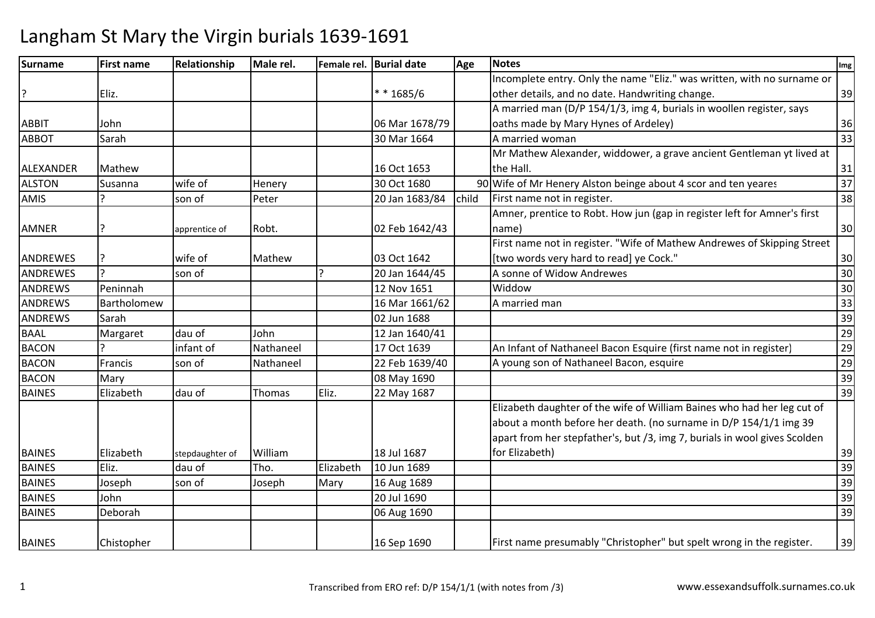| Surname          | <b>First name</b> | Relationship    | Male rel. |                | Female rel. Burial date | Age   | <b>Notes</b>                                                              | Img |
|------------------|-------------------|-----------------|-----------|----------------|-------------------------|-------|---------------------------------------------------------------------------|-----|
|                  |                   |                 |           |                |                         |       | Incomplete entry. Only the name "Eliz." was written, with no surname or   |     |
| ?                | Eliz.             |                 |           |                | $* * 1685/6$            |       | other details, and no date. Handwriting change.                           | 39  |
|                  |                   |                 |           |                |                         |       | A married man (D/P 154/1/3, img 4, burials in woollen register, says      |     |
| <b>ABBIT</b>     | John              |                 |           |                | 06 Mar 1678/79          |       | oaths made by Mary Hynes of Ardeley)                                      | 36  |
| <b>ABBOT</b>     | Sarah             |                 |           |                | 30 Mar 1664             |       | A married woman                                                           | 33  |
|                  |                   |                 |           |                |                         |       | Mr Mathew Alexander, widdower, a grave ancient Gentleman yt lived at      |     |
| <b>ALEXANDER</b> | Mathew            |                 |           |                | 16 Oct 1653             |       | the Hall.                                                                 | 31  |
| <b>ALSTON</b>    | Susanna           | wife of         | Henery    |                | 30 Oct 1680             |       | 90 Wife of Mr Henery Alston beinge about 4 scor and ten yeares            | 37  |
| AMIS             |                   | son of          | Peter     |                | 20 Jan 1683/84          | child | First name not in register.                                               | 38  |
|                  |                   |                 |           |                |                         |       | Amner, prentice to Robt. How jun (gap in register left for Amner's first  |     |
| AMNER            |                   | apprentice of   | Robt.     |                | 02 Feb 1642/43          |       | name)                                                                     | 30  |
|                  |                   |                 |           |                |                         |       | First name not in register. "Wife of Mathew Andrewes of Skipping Street   |     |
| <b>ANDREWES</b>  |                   | wife of         | Mathew    |                | 03 Oct 1642             |       | [two words very hard to read] ye Cock."                                   | 30  |
| <b>ANDREWES</b>  | $\mathbf{C}$      | son of          |           | $\overline{ }$ | 20 Jan 1644/45          |       | A sonne of Widow Andrewes                                                 | 30  |
| <b>ANDREWS</b>   | Peninnah          |                 |           |                | 12 Nov 1651             |       | Widdow                                                                    | 30  |
| <b>ANDREWS</b>   | Bartholomew       |                 |           |                | 16 Mar 1661/62          |       | A married man                                                             | 33  |
| <b>ANDREWS</b>   | Sarah             |                 |           |                | 02 Jun 1688             |       |                                                                           | 39  |
| <b>BAAL</b>      | Margaret          | dau of          | John      |                | 12 Jan 1640/41          |       |                                                                           | 29  |
| <b>BACON</b>     |                   | infant of       | Nathaneel |                | 17 Oct 1639             |       | An Infant of Nathaneel Bacon Esquire (first name not in register)         | 29  |
| <b>BACON</b>     | Francis           | son of          | Nathaneel |                | 22 Feb 1639/40          |       | A young son of Nathaneel Bacon, esquire                                   | 29  |
| <b>BACON</b>     | Mary              |                 |           |                | 08 May 1690             |       |                                                                           | 39  |
| <b>BAINES</b>    | Elizabeth         | dau of          | Thomas    | Eliz.          | 22 May 1687             |       |                                                                           | 39  |
|                  |                   |                 |           |                |                         |       | Elizabeth daughter of the wife of William Baines who had her leg cut of   |     |
|                  |                   |                 |           |                |                         |       | about a month before her death. (no surname in D/P 154/1/1 img 39         |     |
|                  |                   |                 |           |                |                         |       | apart from her stepfather's, but /3, img 7, burials in wool gives Scolden |     |
| <b>BAINES</b>    | Elizabeth         | stepdaughter of | William   |                | 18 Jul 1687             |       | for Elizabeth)                                                            | 39  |
| <b>BAINES</b>    | Eliz.             | dau of          | Tho.      | Elizabeth      | 10 Jun 1689             |       |                                                                           | 39  |
| <b>BAINES</b>    | Joseph            | son of          | Joseph    | Mary           | 16 Aug 1689             |       |                                                                           | 39  |
| <b>BAINES</b>    | John              |                 |           |                | 20 Jul 1690             |       |                                                                           | 39  |
| <b>BAINES</b>    | Deborah           |                 |           |                | 06 Aug 1690             |       |                                                                           | 39  |
| <b>BAINES</b>    | Chistopher        |                 |           |                | 16 Sep 1690             |       | First name presumably "Christopher" but spelt wrong in the register.      | 39  |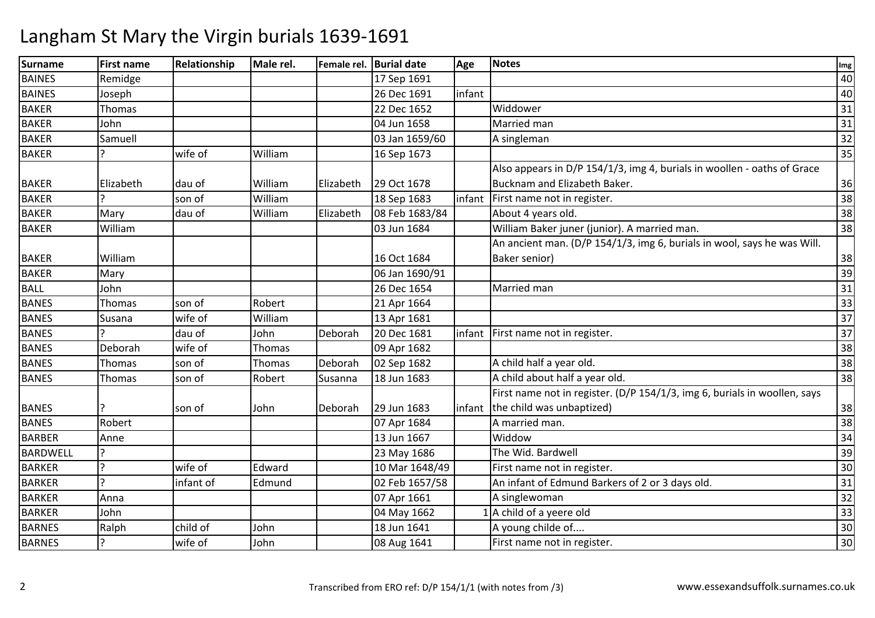| <b>Surname</b> | <b>First name</b> | Relationship | Male rel. |           | Female rel. Burial date | Age    | <b>Notes</b>                                                              | Img             |
|----------------|-------------------|--------------|-----------|-----------|-------------------------|--------|---------------------------------------------------------------------------|-----------------|
| <b>BAINES</b>  | Remidge           |              |           |           | 17 Sep 1691             |        |                                                                           | 40              |
| <b>BAINES</b>  | Joseph            |              |           |           | 26 Dec 1691             | infant |                                                                           | 40              |
| <b>BAKER</b>   | Thomas            |              |           |           | 22 Dec 1652             |        | Widdower                                                                  | 31              |
| <b>BAKER</b>   | John              |              |           |           | 04 Jun 1658             |        | Married man                                                               | 31              |
| <b>BAKER</b>   | Samuell           |              |           |           | 03 Jan 1659/60          |        | A singleman                                                               | $\overline{32}$ |
| <b>BAKER</b>   |                   | wife of      | William   |           | 16 Sep 1673             |        |                                                                           | 35              |
|                |                   |              |           |           |                         |        | Also appears in D/P 154/1/3, img 4, burials in woollen - oaths of Grace   |                 |
| <b>BAKER</b>   | Elizabeth         | dau of       | William   | Elizabeth | 29 Oct 1678             |        | Bucknam and Elizabeth Baker.                                              | 36              |
| <b>BAKER</b>   |                   | son of       | William   |           | 18 Sep 1683             | infant | First name not in register.                                               | 38              |
| <b>BAKER</b>   | Mary              | dau of       | William   | Elizabeth | 08 Feb 1683/84          |        | About 4 years old.                                                        | 38              |
| <b>BAKER</b>   | William           |              |           |           | 03 Jun 1684             |        | William Baker juner (junior). A married man.                              | 38              |
|                |                   |              |           |           |                         |        | An ancient man. (D/P 154/1/3, img 6, burials in wool, says he was Will.   |                 |
| <b>BAKER</b>   | William           |              |           |           | 16 Oct 1684             |        | Baker senior)                                                             | 38              |
| <b>BAKER</b>   | Mary              |              |           |           | 06 Jan 1690/91          |        |                                                                           | 39              |
| <b>BALL</b>    | John              |              |           |           | 26 Dec 1654             |        | Married man                                                               | 31              |
| <b>BANES</b>   | Thomas            | son of       | Robert    |           | 21 Apr 1664             |        |                                                                           | 33              |
| <b>BANES</b>   | Susana            | wife of      | William   |           | 13 Apr 1681             |        |                                                                           | 37              |
| <b>BANES</b>   |                   | dau of       | John      | Deborah   | 20 Dec 1681             | infant | First name not in register.                                               | 37              |
| <b>BANES</b>   | Deborah           | wife of      | Thomas    |           | 09 Apr 1682             |        |                                                                           | 38              |
| <b>BANES</b>   | Thomas            | son of       | Thomas    | Deborah   | 02 Sep 1682             |        | A child half a year old.                                                  | 38              |
| <b>BANES</b>   | Thomas            | son of       | Robert    | Susanna   | 18 Jun 1683             |        | A child about half a year old.                                            | 38              |
|                |                   |              |           |           |                         |        | First name not in register. (D/P 154/1/3, img 6, burials in woollen, says |                 |
| <b>BANES</b>   |                   | son of       | John      | Deborah   | 29 Jun 1683             | infant | the child was unbaptized)                                                 | 38              |
| <b>BANES</b>   | Robert            |              |           |           | 07 Apr 1684             |        | A married man.                                                            | 38              |
| <b>BARBER</b>  | Anne              |              |           |           | 13 Jun 1667             |        | Widdow                                                                    | 34              |
| BARDWELL       |                   |              |           |           | 23 May 1686             |        | The Wid. Bardwell                                                         | 39              |
| <b>BARKER</b>  |                   | wife of      | Edward    |           | 10 Mar 1648/49          |        | First name not in register.                                               | 30              |
| <b>BARKER</b>  |                   | infant of    | Edmund    |           | 02 Feb 1657/58          |        | An infant of Edmund Barkers of 2 or 3 days old.                           | 31              |
| <b>BARKER</b>  | Anna              |              |           |           | 07 Apr 1661             |        | A singlewoman                                                             | $\overline{32}$ |
| <b>BARKER</b>  | John              |              |           |           | 04 May 1662             |        | $1$ A child of a yeere old                                                | 33              |
| <b>BARNES</b>  | Ralph             | child of     | John      |           | 18 Jun 1641             |        | A young childe of                                                         | 30              |
| <b>BARNES</b>  |                   | wife of      | John      |           | 08 Aug 1641             |        | First name not in register.                                               | 30              |
|                |                   |              |           |           |                         |        |                                                                           |                 |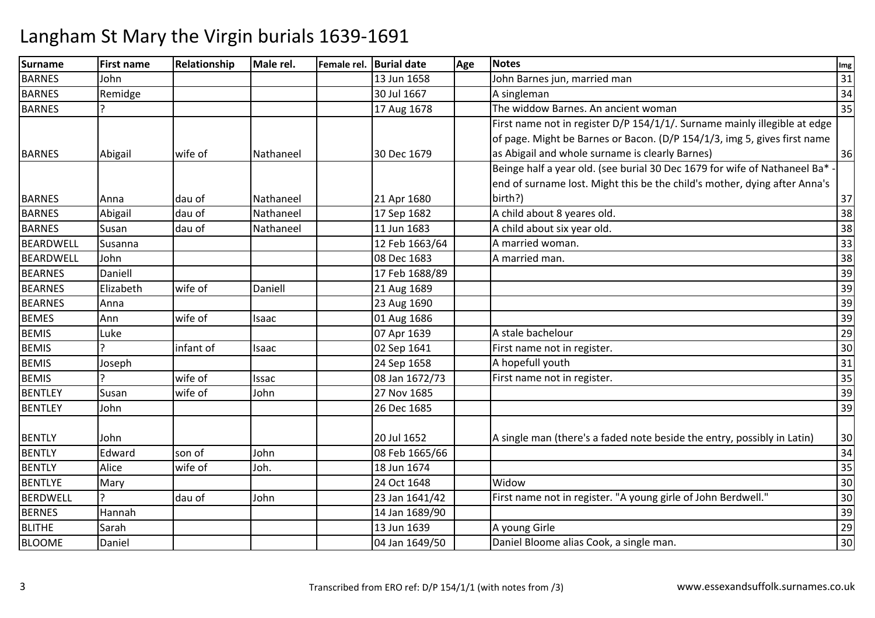| Surname          | <b>First name</b> | Relationship | Male rel. | Female rel. Burial date | Age | <b>Notes</b>                                                              | Img |
|------------------|-------------------|--------------|-----------|-------------------------|-----|---------------------------------------------------------------------------|-----|
| <b>BARNES</b>    | John              |              |           | 13 Jun 1658             |     | John Barnes jun, married man                                              | 31  |
| <b>BARNES</b>    | Remidge           |              |           | 30 Jul 1667             |     | A singleman                                                               | 34  |
| <b>BARNES</b>    |                   |              |           | 17 Aug 1678             |     | The widdow Barnes. An ancient woman                                       | 35  |
|                  |                   |              |           |                         |     | First name not in register D/P 154/1/1/. Surname mainly illegible at edge |     |
|                  |                   |              |           |                         |     | of page. Might be Barnes or Bacon. (D/P 154/1/3, img 5, gives first name  |     |
| <b>BARNES</b>    | Abigail           | wife of      | Nathaneel | 30 Dec 1679             |     | as Abigail and whole surname is clearly Barnes)                           | 36  |
|                  |                   |              |           |                         |     | Beinge half a year old. (see burial 30 Dec 1679 for wife of Nathaneel Ba* |     |
|                  |                   |              |           |                         |     | end of surname lost. Might this be the child's mother, dying after Anna's |     |
| <b>BARNES</b>    | Anna              | dau of       | Nathaneel | 21 Apr 1680             |     | birth?)                                                                   | 37  |
| <b>BARNES</b>    | Abigail           | dau of       | Nathaneel | 17 Sep 1682             |     | A child about 8 yeares old.                                               | 38  |
| <b>BARNES</b>    | Susan             | dau of       | Nathaneel | 11 Jun 1683             |     | A child about six year old.                                               | 38  |
| BEARDWELL        | Susanna           |              |           | 12 Feb 1663/64          |     | A married woman.                                                          | 33  |
| <b>BEARDWELL</b> | John              |              |           | 08 Dec 1683             |     | A married man.                                                            | 38  |
| <b>BEARNES</b>   | Daniell           |              |           | 17 Feb 1688/89          |     |                                                                           | 39  |
| <b>BEARNES</b>   | Elizabeth         | wife of      | Daniell   | 21 Aug 1689             |     |                                                                           | 39  |
| <b>BEARNES</b>   | Anna              |              |           | 23 Aug 1690             |     |                                                                           | 39  |
| <b>BEMES</b>     | Ann               | wife of      | Isaac     | 01 Aug 1686             |     |                                                                           | 39  |
| <b>BEMIS</b>     | Luke              |              |           | 07 Apr 1639             |     | A stale bachelour                                                         | 29  |
| <b>BEMIS</b>     |                   | infant of    | Isaac     | 02 Sep 1641             |     | First name not in register.                                               | 30  |
| <b>BEMIS</b>     | Joseph            |              |           | 24 Sep 1658             |     | A hopefull youth                                                          | 31  |
| <b>BEMIS</b>     |                   | wife of      | Issac     | 08 Jan 1672/73          |     | First name not in register.                                               | 35  |
| <b>BENTLEY</b>   | Susan             | wife of      | John      | 27 Nov 1685             |     |                                                                           | 39  |
| <b>BENTLEY</b>   | John              |              |           | 26 Dec 1685             |     |                                                                           | 39  |
| <b>BENTLY</b>    | John              |              |           | 20 Jul 1652             |     | A single man (there's a faded note beside the entry, possibly in Latin)   | 30  |
| <b>BENTLY</b>    | Edward            | son of       | John      | 08 Feb 1665/66          |     |                                                                           | 34  |
| <b>BENTLY</b>    | Alice             | wife of      | Joh.      | 18 Jun 1674             |     |                                                                           | 35  |
| <b>BENTLYE</b>   | Mary              |              |           | 24 Oct 1648             |     | Widow                                                                     | 30  |
| <b>BERDWELL</b>  | C                 | dau of       | John      | 23 Jan 1641/42          |     | First name not in register. "A young girle of John Berdwell."             | 30  |
| <b>BERNES</b>    | Hannah            |              |           | 14 Jan 1689/90          |     |                                                                           | 39  |
| <b>BLITHE</b>    | Sarah             |              |           | 13 Jun 1639             |     | A young Girle                                                             | 29  |
| <b>BLOOME</b>    | Daniel            |              |           | 04 Jan 1649/50          |     | Daniel Bloome alias Cook, a single man.                                   | 30  |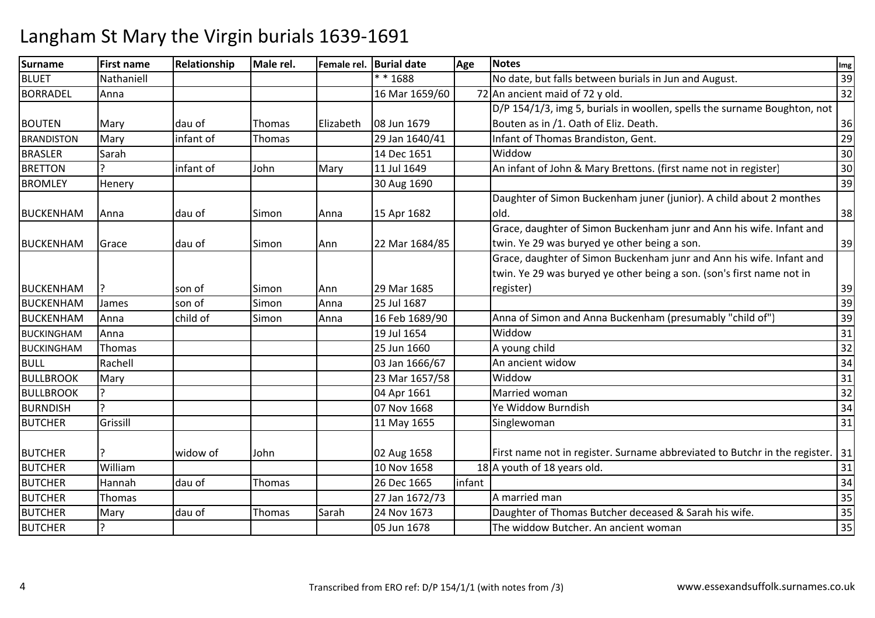| <b>Surname</b>    | <b>First name</b> | Relationship | Male rel.     |           | Female rel. Burial date | Age    | <b>Notes</b>                                                                    | Img |
|-------------------|-------------------|--------------|---------------|-----------|-------------------------|--------|---------------------------------------------------------------------------------|-----|
| <b>BLUET</b>      | Nathaniell        |              |               |           | $* * 1688$              |        | No date, but falls between burials in Jun and August.                           | 39  |
| <b>BORRADEL</b>   | Anna              |              |               |           | 16 Mar 1659/60          |        | 72 An ancient maid of 72 y old.                                                 | 32  |
|                   |                   |              |               |           |                         |        | D/P 154/1/3, img 5, burials in woollen, spells the surname Boughton, not        |     |
| <b>BOUTEN</b>     | Mary              | dau of       | Thomas        | Elizabeth | 08 Jun 1679             |        | Bouten as in /1. Oath of Eliz. Death.                                           | 36  |
| <b>BRANDISTON</b> | Mary              | infant of    | <b>Thomas</b> |           | 29 Jan 1640/41          |        | Infant of Thomas Brandiston, Gent.                                              | 29  |
| <b>BRASLER</b>    | Sarah             |              |               |           | 14 Dec 1651             |        | Widdow                                                                          | 30  |
| <b>BRETTON</b>    |                   | infant of    | John          | Mary      | 11 Jul 1649             |        | An infant of John & Mary Brettons. (first name not in register)                 | 30  |
| <b>BROMLEY</b>    | Henery            |              |               |           | 30 Aug 1690             |        |                                                                                 | 39  |
|                   |                   |              |               |           |                         |        | Daughter of Simon Buckenham juner (junior). A child about 2 monthes             |     |
| <b>BUCKENHAM</b>  | Anna              | dau of       | Simon         | Anna      | 15 Apr 1682             |        | old.                                                                            | 38  |
|                   |                   |              |               |           |                         |        | Grace, daughter of Simon Buckenham junr and Ann his wife. Infant and            |     |
| <b>BUCKENHAM</b>  | Grace             | dau of       | Simon         | Ann       | 22 Mar 1684/85          |        | twin. Ye 29 was buryed ye other being a son.                                    | 39  |
|                   |                   |              |               |           |                         |        | Grace, daughter of Simon Buckenham junr and Ann his wife. Infant and            |     |
|                   |                   |              |               |           |                         |        | twin. Ye 29 was buryed ye other being a son. (son's first name not in           |     |
| <b>BUCKENHAM</b>  |                   | son of       | Simon         | Ann       | 29 Mar 1685             |        | register)                                                                       | 39  |
| <b>BUCKENHAM</b>  | James             | son of       | Simon         | Anna      | 25 Jul 1687             |        |                                                                                 | 39  |
| <b>BUCKENHAM</b>  | Anna              | child of     | Simon         | Anna      | 16 Feb 1689/90          |        | Anna of Simon and Anna Buckenham (presumably "child of")                        | 39  |
| <b>BUCKINGHAM</b> | Anna              |              |               |           | 19 Jul 1654             |        | Widdow                                                                          | 31  |
| <b>BUCKINGHAM</b> | Thomas            |              |               |           | 25 Jun 1660             |        | A young child                                                                   | 32  |
| <b>BULL</b>       | Rachell           |              |               |           | 03 Jan 1666/67          |        | An ancient widow                                                                | 34  |
| <b>BULLBROOK</b>  | Mary              |              |               |           | 23 Mar 1657/58          |        | Widdow                                                                          | 31  |
| <b>BULLBROOK</b>  |                   |              |               |           | 04 Apr 1661             |        | Married woman                                                                   | 32  |
| <b>BURNDISH</b>   | C                 |              |               |           | 07 Nov 1668             |        | Ye Widdow Burndish                                                              | 34  |
| <b>BUTCHER</b>    | Grissill          |              |               |           | 11 May 1655             |        | Singlewoman                                                                     | 31  |
|                   |                   |              |               |           |                         |        |                                                                                 |     |
| <b>BUTCHER</b>    |                   | widow of     | John          |           | 02 Aug 1658             |        | First name not in register. Surname abbreviated to Butchr in the register.   31 |     |
| <b>BUTCHER</b>    | William           |              |               |           | 10 Nov 1658             |        | 18 A youth of 18 years old.                                                     | 31  |
| <b>BUTCHER</b>    | Hannah            | dau of       | <b>Thomas</b> |           | 26 Dec 1665             | infant |                                                                                 | 34  |
| <b>BUTCHER</b>    | Thomas            |              |               |           | 27 Jan 1672/73          |        | A married man                                                                   | 35  |
| <b>BUTCHER</b>    | Mary              | dau of       | Thomas        | Sarah     | 24 Nov 1673             |        | Daughter of Thomas Butcher deceased & Sarah his wife.                           | 35  |
| <b>BUTCHER</b>    |                   |              |               |           | 05 Jun 1678             |        | The widdow Butcher. An ancient woman                                            | 35  |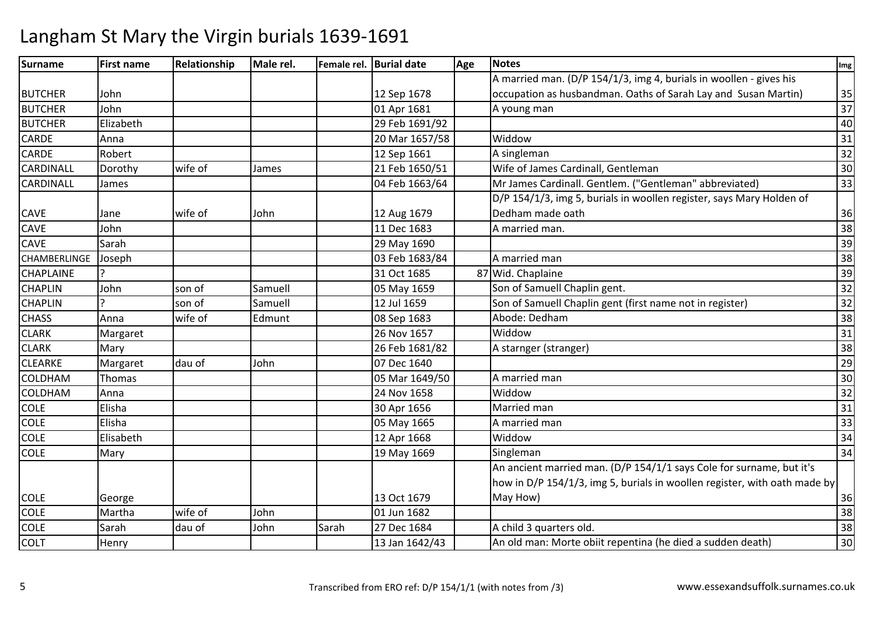| Surname             | <b>First name</b> | Relationship | Male rel. |       | Female rel. Burial date | Age | <b>Notes</b>                                                              | Img |
|---------------------|-------------------|--------------|-----------|-------|-------------------------|-----|---------------------------------------------------------------------------|-----|
|                     |                   |              |           |       |                         |     | A married man. (D/P 154/1/3, img 4, burials in woollen - gives his        |     |
| <b>BUTCHER</b>      | John              |              |           |       | 12 Sep 1678             |     | occupation as husbandman. Oaths of Sarah Lay and Susan Martin)            | 35  |
| <b>BUTCHER</b>      | John              |              |           |       | 01 Apr 1681             |     | A young man                                                               | 37  |
| <b>BUTCHER</b>      | Elizabeth         |              |           |       | 29 Feb 1691/92          |     |                                                                           | 40  |
| <b>CARDE</b>        | Anna              |              |           |       | 20 Mar 1657/58          |     | Widdow                                                                    | 31  |
| <b>CARDE</b>        | Robert            |              |           |       | 12 Sep 1661             |     | A singleman                                                               | 32  |
| CARDINALL           | Dorothy           | wife of      | James     |       | 21 Feb 1650/51          |     | Wife of James Cardinall, Gentleman                                        | 30  |
| CARDINALL           | James             |              |           |       | 04 Feb 1663/64          |     | Mr James Cardinall. Gentlem. ("Gentleman" abbreviated)                    | 33  |
|                     |                   |              |           |       |                         |     | D/P 154/1/3, img 5, burials in woollen register, says Mary Holden of      |     |
| <b>CAVE</b>         | Jane              | wife of      | John      |       | 12 Aug 1679             |     | Dedham made oath                                                          | 36  |
| CAVE                | John              |              |           |       | 11 Dec 1683             |     | A married man.                                                            | 38  |
| <b>CAVE</b>         | Sarah             |              |           |       | 29 May 1690             |     |                                                                           | 39  |
| <b>CHAMBERLINGE</b> | Joseph            |              |           |       | 03 Feb 1683/84          |     | A married man                                                             | 38  |
| <b>CHAPLAINE</b>    |                   |              |           |       | 31 Oct 1685             |     | 87 Wid. Chaplaine                                                         | 39  |
| <b>CHAPLIN</b>      | John              | son of       | Samuell   |       | 05 May 1659             |     | Son of Samuell Chaplin gent.                                              | 32  |
| <b>CHAPLIN</b>      |                   | son of       | Samuell   |       | 12 Jul 1659             |     | Son of Samuell Chaplin gent (first name not in register)                  | 32  |
| <b>CHASS</b>        | Anna              | wife of      | Edmunt    |       | 08 Sep 1683             |     | Abode: Dedham                                                             | 38  |
| <b>CLARK</b>        | Margaret          |              |           |       | 26 Nov 1657             |     | Widdow                                                                    | 31  |
| <b>CLARK</b>        | Mary              |              |           |       | 26 Feb 1681/82          |     | A starnger (stranger)                                                     | 38  |
| <b>CLEARKE</b>      | Margaret          | dau of       | John      |       | 07 Dec 1640             |     |                                                                           | 29  |
| <b>COLDHAM</b>      | Thomas            |              |           |       | 05 Mar 1649/50          |     | A married man                                                             | 30  |
| <b>COLDHAM</b>      | Anna              |              |           |       | 24 Nov 1658             |     | Widdow                                                                    | 32  |
| <b>COLE</b>         | Elisha            |              |           |       | 30 Apr 1656             |     | Married man                                                               | 31  |
| <b>COLE</b>         | Elisha            |              |           |       | 05 May 1665             |     | A married man                                                             | 33  |
| <b>COLE</b>         | Elisabeth         |              |           |       | 12 Apr 1668             |     | Widdow                                                                    | 34  |
| <b>COLE</b>         | Mary              |              |           |       | 19 May 1669             |     | Singleman                                                                 | 34  |
|                     |                   |              |           |       |                         |     | An ancient married man. (D/P 154/1/1 says Cole for surname, but it's      |     |
|                     |                   |              |           |       |                         |     | how in D/P 154/1/3, img 5, burials in woollen register, with oath made by |     |
| <b>COLE</b>         | George            |              |           |       | 13 Oct 1679             |     | May How)                                                                  | 36  |
| <b>COLE</b>         | Martha            | wife of      | John      |       | 01 Jun 1682             |     |                                                                           | 38  |
| <b>COLE</b>         | Sarah             | dau of       | John      | Sarah | 27 Dec 1684             |     | A child 3 quarters old.                                                   | 38  |
| <b>COLT</b>         | Henry             |              |           |       | 13 Jan 1642/43          |     | An old man: Morte obiit repentina (he died a sudden death)                | 30  |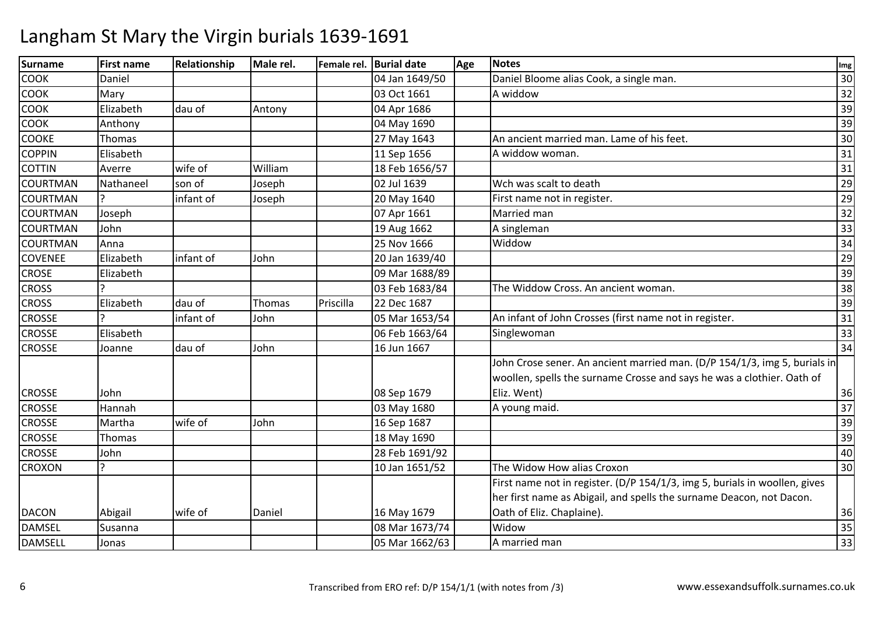| <b>Surname</b>  | <b>First name</b> | Relationship | Male rel. |           | Female rel. Burial date | Age | <b>Notes</b>                                                               | Img |
|-----------------|-------------------|--------------|-----------|-----------|-------------------------|-----|----------------------------------------------------------------------------|-----|
| <b>COOK</b>     | Daniel            |              |           |           | 04 Jan 1649/50          |     | Daniel Bloome alias Cook, a single man.                                    | 30  |
| <b>COOK</b>     | Mary              |              |           |           | 03 Oct 1661             |     | A widdow                                                                   | 32  |
| <b>COOK</b>     | Elizabeth         | dau of       | Antony    |           | 04 Apr 1686             |     |                                                                            | 39  |
| СООК            | Anthony           |              |           |           | 04 May 1690             |     |                                                                            | 39  |
| <b>COOKE</b>    | Thomas            |              |           |           | 27 May 1643             |     | An ancient married man. Lame of his feet.                                  | 30  |
| <b>COPPIN</b>   | Elisabeth         |              |           |           | 11 Sep 1656             |     | A widdow woman.                                                            | 31  |
| <b>COTTIN</b>   | Averre            | wife of      | William   |           | 18 Feb 1656/57          |     |                                                                            | 31  |
| <b>COURTMAN</b> | Nathaneel         | son of       | Joseph    |           | 02 Jul 1639             |     | Wch was scalt to death                                                     | 29  |
| <b>COURTMAN</b> |                   | infant of    | Joseph    |           | 20 May 1640             |     | First name not in register.                                                | 29  |
| <b>COURTMAN</b> | Joseph            |              |           |           | 07 Apr 1661             |     | Married man                                                                | 32  |
| <b>COURTMAN</b> | John              |              |           |           | 19 Aug 1662             |     | A singleman                                                                | 33  |
| <b>COURTMAN</b> | Anna              |              |           |           | 25 Nov 1666             |     | Widdow                                                                     | 34  |
| <b>COVENEE</b>  | Elizabeth         | infant of    | John      |           | 20 Jan 1639/40          |     |                                                                            | 29  |
| <b>CROSE</b>    | Elizabeth         |              |           |           | 09 Mar 1688/89          |     |                                                                            | 39  |
| <b>CROSS</b>    |                   |              |           |           | 03 Feb 1683/84          |     | The Widdow Cross. An ancient woman.                                        | 38  |
| <b>CROSS</b>    | Elizabeth         | dau of       | Thomas    | Priscilla | 22 Dec 1687             |     |                                                                            | 39  |
| <b>CROSSE</b>   |                   | infant of    | John      |           | 05 Mar 1653/54          |     | An infant of John Crosses (first name not in register.                     | 31  |
| <b>CROSSE</b>   | Elisabeth         |              |           |           | 06 Feb 1663/64          |     | Singlewoman                                                                | 33  |
| <b>CROSSE</b>   | Joanne            | dau of       | John      |           | 16 Jun 1667             |     |                                                                            | 34  |
|                 |                   |              |           |           |                         |     | John Crose sener. An ancient married man. (D/P 154/1/3, img 5, burials in  |     |
|                 |                   |              |           |           |                         |     | woollen, spells the surname Crosse and says he was a clothier. Oath of     |     |
| <b>CROSSE</b>   | John              |              |           |           | 08 Sep 1679             |     | Eliz. Went)                                                                | 36  |
| <b>CROSSE</b>   | Hannah            |              |           |           | 03 May 1680             |     | A young maid.                                                              | 37  |
| <b>CROSSE</b>   | Martha            | wife of      | John      |           | 16 Sep 1687             |     |                                                                            | 39  |
| <b>CROSSE</b>   | Thomas            |              |           |           | 18 May 1690             |     |                                                                            | 39  |
| <b>CROSSE</b>   | John              |              |           |           | 28 Feb 1691/92          |     |                                                                            | 40  |
| <b>CROXON</b>   |                   |              |           |           | 10 Jan 1651/52          |     | The Widow How alias Croxon                                                 | 30  |
|                 |                   |              |           |           |                         |     | First name not in register. (D/P 154/1/3, img 5, burials in woollen, gives |     |
|                 |                   |              |           |           |                         |     | her first name as Abigail, and spells the surname Deacon, not Dacon.       |     |
| <b>DACON</b>    | Abigail           | wife of      | Daniel    |           | 16 May 1679             |     | Oath of Eliz. Chaplaine).                                                  | 36  |
| <b>DAMSEL</b>   | Susanna           |              |           |           | 08 Mar 1673/74          |     | Widow                                                                      | 35  |
| <b>DAMSELL</b>  | Jonas             |              |           |           | 05 Mar 1662/63          |     | A married man                                                              | 33  |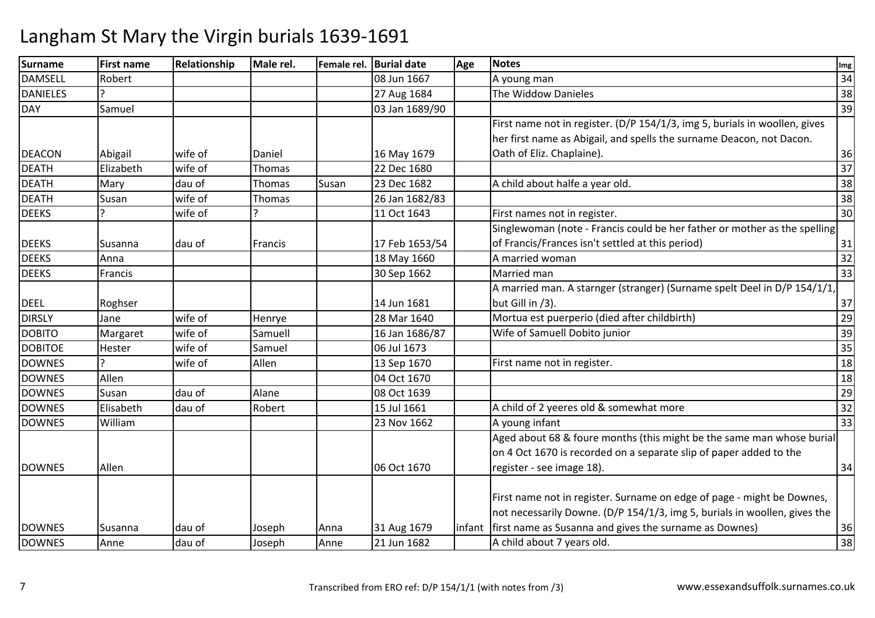| <b>Surname</b>  | <b>First name</b> | Relationship | Male rel. |       | Female rel. Burial date | Age     | <b>Notes</b>                                                               | Img             |
|-----------------|-------------------|--------------|-----------|-------|-------------------------|---------|----------------------------------------------------------------------------|-----------------|
| <b>DAMSELL</b>  | Robert            |              |           |       | 08 Jun 1667             |         | A young man                                                                | 34              |
| <b>DANIELES</b> |                   |              |           |       | 27 Aug 1684             |         | The Widdow Danieles                                                        | 38              |
| <b>DAY</b>      | Samuel            |              |           |       | 03 Jan 1689/90          |         |                                                                            | 39              |
|                 |                   |              |           |       |                         |         | First name not in register. (D/P 154/1/3, img 5, burials in woollen, gives |                 |
|                 |                   |              |           |       |                         |         | her first name as Abigail, and spells the surname Deacon, not Dacon.       |                 |
| <b>DEACON</b>   | Abigail           | wife of      | Daniel    |       | 16 May 1679             |         | Oath of Eliz. Chaplaine).                                                  | 36              |
| <b>DEATH</b>    | Elizabeth         | wife of      | Thomas    |       | 22 Dec 1680             |         |                                                                            | 37              |
| <b>DEATH</b>    | Mary              | dau of       | Thomas    | Susan | 23 Dec 1682             |         | A child about halfe a year old.                                            | 38              |
| <b>DEATH</b>    | Susan             | wife of      | Thomas    |       | 26 Jan 1682/83          |         |                                                                            | 38              |
| <b>DEEKS</b>    |                   | wife of      |           |       | 11 Oct 1643             |         | First names not in register.                                               | 30              |
|                 |                   |              |           |       |                         |         | Singlewoman (note - Francis could be her father or mother as the spelling  |                 |
| <b>DEEKS</b>    | Susanna           | dau of       | Francis   |       | 17 Feb 1653/54          |         | of Francis/Frances isn't settled at this period)                           | 31              |
| <b>DEEKS</b>    | Anna              |              |           |       | 18 May 1660             |         | A married woman                                                            | $\overline{32}$ |
| <b>DEEKS</b>    | Francis           |              |           |       | 30 Sep 1662             |         | Married man                                                                | 33              |
|                 |                   |              |           |       |                         |         | A married man. A starnger (stranger) (Surname spelt Deel in D/P 154/1/1,   |                 |
| <b>DEEL</b>     | Roghser           |              |           |       | 14 Jun 1681             |         | but Gill in /3).                                                           | 37              |
| <b>DIRSLY</b>   | Jane              | wife of      | Henrye    |       | 28 Mar 1640             |         | Mortua est puerperio (died after childbirth)                               | 29              |
| <b>DOBITO</b>   | Margaret          | wife of      | Samuell   |       | 16 Jan 1686/87          |         | Wife of Samuell Dobito junior                                              | 39              |
| <b>DOBITOE</b>  | Hester            | wife of      | Samuel    |       | 06 Jul 1673             |         |                                                                            | 35              |
| <b>DOWNES</b>   |                   | wife of      | Allen     |       | 13 Sep 1670             |         | First name not in register.                                                | 18              |
| <b>DOWNES</b>   | Allen             |              |           |       | 04 Oct 1670             |         |                                                                            | 18              |
| <b>DOWNES</b>   | Susan             | dau of       | Alane     |       | 08 Oct 1639             |         |                                                                            | 29              |
| <b>DOWNES</b>   | Elisabeth         | dau of       | Robert    |       | 15 Jul 1661             |         | A child of 2 yeeres old & somewhat more                                    | 32              |
| <b>DOWNES</b>   | William           |              |           |       | 23 Nov 1662             |         | A young infant                                                             | 33              |
|                 |                   |              |           |       |                         |         | Aged about 68 & foure months (this might be the same man whose burial      |                 |
|                 |                   |              |           |       |                         |         | on 4 Oct 1670 is recorded on a separate slip of paper added to the         |                 |
| <b>DOWNES</b>   | Allen             |              |           |       | 06 Oct 1670             |         | register - see image 18).                                                  | 34              |
|                 |                   |              |           |       |                         |         |                                                                            |                 |
|                 |                   |              |           |       |                         |         | First name not in register. Surname on edge of page - might be Downes,     |                 |
|                 |                   |              |           |       |                         |         | not necessarily Downe. (D/P 154/1/3, img 5, burials in woollen, gives the  |                 |
| <b>DOWNES</b>   | Susanna           | dau of       | Joseph    | Anna  | 31 Aug 1679             | linfant | first name as Susanna and gives the surname as Downes)                     | 36              |
| <b>DOWNES</b>   | Anne              | dau of       | Joseph    | Anne  | 21 Jun 1682             |         | A child about 7 years old.                                                 | 38              |
|                 |                   |              |           |       |                         |         |                                                                            |                 |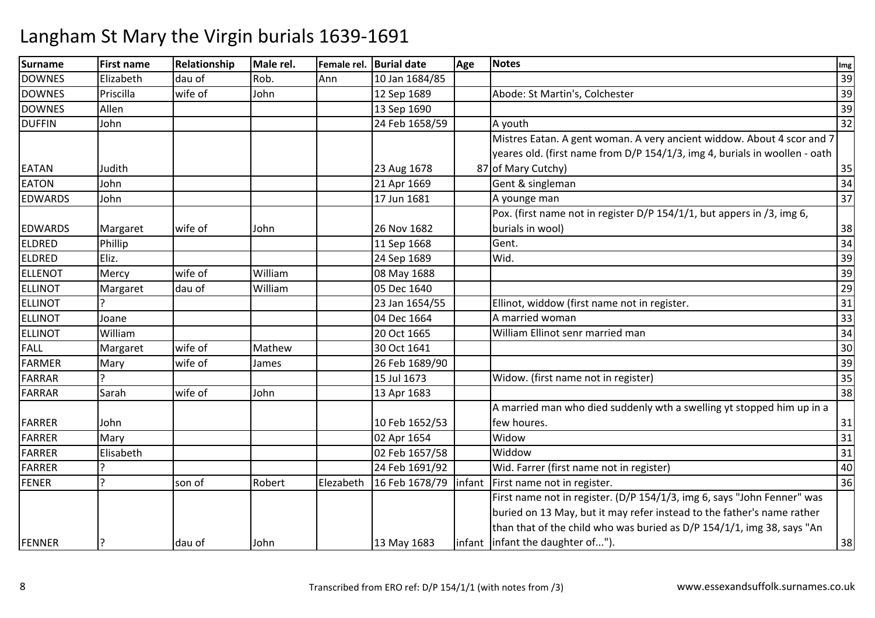| Surname        | <b>First name</b> | Relationship | Male rel. |           | Female rel. Burial date | Age    | <b>Notes</b>                                                               | Img             |
|----------------|-------------------|--------------|-----------|-----------|-------------------------|--------|----------------------------------------------------------------------------|-----------------|
| <b>DOWNES</b>  | Elizabeth         | dau of       | Rob.      | Ann       | 10 Jan 1684/85          |        |                                                                            | 39              |
| <b>DOWNES</b>  | Priscilla         | wife of      | John      |           | 12 Sep 1689             |        | Abode: St Martin's, Colchester                                             | 39              |
| <b>DOWNES</b>  | Allen             |              |           |           | 13 Sep 1690             |        |                                                                            | 39              |
| <b>DUFFIN</b>  | John              |              |           |           | 24 Feb 1658/59          |        | A youth                                                                    | 32              |
|                |                   |              |           |           |                         |        | Mistres Eatan. A gent woman. A very ancient widdow. About 4 scor and 7     |                 |
|                |                   |              |           |           |                         |        | yeares old. (first name from D/P 154/1/3, img 4, burials in woollen - oath |                 |
| <b>EATAN</b>   | Judith            |              |           |           | 23 Aug 1678             |        | 87 of Mary Cutchy)                                                         | 35              |
| <b>EATON</b>   | John              |              |           |           | 21 Apr 1669             |        | Gent & singleman                                                           | 34              |
| <b>EDWARDS</b> | John              |              |           |           | 17 Jun 1681             |        | A younge man                                                               | 37              |
|                |                   |              |           |           |                         |        | Pox. (first name not in register D/P 154/1/1, but appers in /3, img 6,     |                 |
| <b>EDWARDS</b> | Margaret          | wife of      | John      |           | 26 Nov 1682             |        | burials in wool)                                                           | 38              |
| <b>ELDRED</b>  | Phillip           |              |           |           | 11 Sep 1668             |        | Gent.                                                                      | 34              |
| <b>ELDRED</b>  | Eliz.             |              |           |           | 24 Sep 1689             |        | Wid.                                                                       | 39              |
| <b>ELLENOT</b> | Mercy             | wife of      | William   |           | 08 May 1688             |        |                                                                            | 39              |
| <b>ELLINOT</b> | Margaret          | dau of       | William   |           | 05 Dec 1640             |        |                                                                            | 29              |
| <b>ELLINOT</b> |                   |              |           |           | 23 Jan 1654/55          |        | Ellinot, widdow (first name not in register.                               | 31              |
| <b>ELLINOT</b> | Joane             |              |           |           | 04 Dec 1664             |        | A married woman                                                            | 33              |
| <b>ELLINOT</b> | William           |              |           |           | 20 Oct 1665             |        | William Ellinot senr married man                                           | 34              |
| FALL           | Margaret          | wife of      | Mathew    |           | 30 Oct 1641             |        |                                                                            | 30              |
| <b>FARMER</b>  | Mary              | wife of      | James     |           | 26 Feb 1689/90          |        |                                                                            | 39              |
| <b>FARRAR</b>  |                   |              |           |           | 15 Jul 1673             |        | Widow. (first name not in register)                                        | 35              |
| <b>FARRAR</b>  | Sarah             | wife of      | John      |           | 13 Apr 1683             |        |                                                                            | 38              |
|                |                   |              |           |           |                         |        | A married man who died suddenly wth a swelling yt stopped him up in a      |                 |
| <b>FARRER</b>  | John              |              |           |           | 10 Feb 1652/53          |        | few houres.                                                                | 31              |
| <b>FARRER</b>  | Mary              |              |           |           | 02 Apr 1654             |        | Widow                                                                      | $\overline{31}$ |
| <b>FARRER</b>  | Elisabeth         |              |           |           | 02 Feb 1657/58          |        | Widdow                                                                     | 31              |
| <b>FARRER</b>  |                   |              |           |           | 24 Feb 1691/92          |        | Wid. Farrer (first name not in register)                                   | 40              |
| <b>FENER</b>   | ς                 | son of       | Robert    | Elezabeth | 16 Feb 1678/79          | infant | First name not in register.                                                | 36              |
|                |                   |              |           |           |                         |        | First name not in register. (D/P 154/1/3, img 6, says "John Fenner" was    |                 |
|                |                   |              |           |           |                         |        | buried on 13 May, but it may refer instead to the father's name rather     |                 |
|                |                   |              |           |           |                         |        | than that of the child who was buried as D/P 154/1/1, img 38, says "An     |                 |
| FENNER         |                   | dau of       | John      |           | 13 May 1683             |        | infant infant the daughter of").                                           | 38              |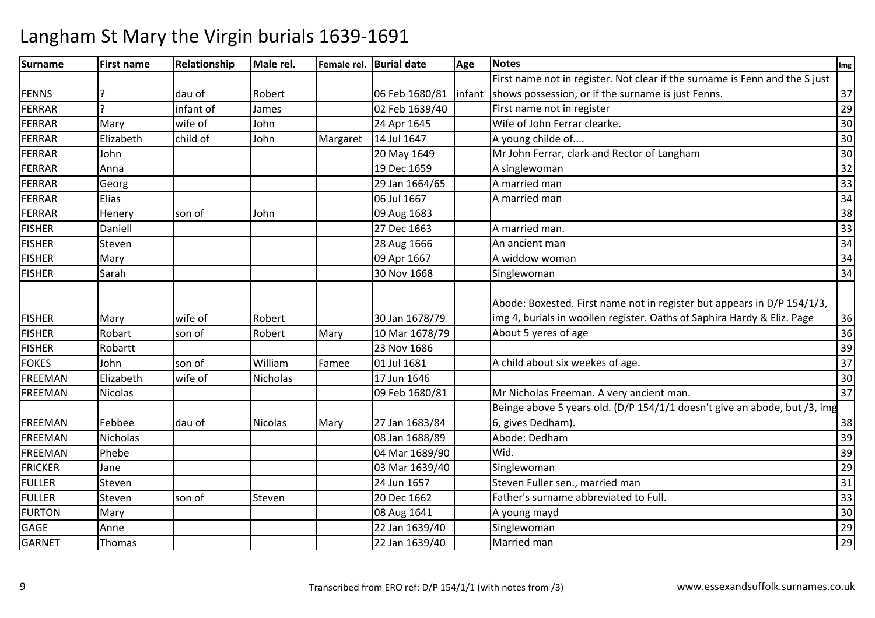| Surname        | <b>First name</b> | Relationship | Male rel.       |          | Female rel. Burial date | Age    | <b>Notes</b>                                                                                                                                       | Img             |
|----------------|-------------------|--------------|-----------------|----------|-------------------------|--------|----------------------------------------------------------------------------------------------------------------------------------------------------|-----------------|
|                |                   |              |                 |          |                         |        | First name not in register. Not clear if the surname is Fenn and the S just                                                                        |                 |
| <b>FENNS</b>   |                   | dau of       | Robert          |          | 06 Feb 1680/81          | infant | shows possession, or if the surname is just Fenns.                                                                                                 | 37              |
| FERRAR         | $\mathcal{L}$     | infant of    | James           |          | 02 Feb 1639/40          |        | First name not in register                                                                                                                         | 29              |
| FERRAR         | Mary              | wife of      | John            |          | 24 Apr 1645             |        | Wife of John Ferrar clearke.                                                                                                                       | 30              |
| FERRAR         | Elizabeth         | child of     | John            | Margaret | 14 Jul 1647             |        | A young childe of                                                                                                                                  | 30              |
| FERRAR         | John              |              |                 |          | 20 May 1649             |        | Mr John Ferrar, clark and Rector of Langham                                                                                                        | 30              |
| <b>FERRAR</b>  | Anna              |              |                 |          | 19 Dec 1659             |        | A singlewoman                                                                                                                                      | 32              |
| FERRAR         | Georg             |              |                 |          | 29 Jan 1664/65          |        | A married man                                                                                                                                      | 33              |
| FERRAR         | Elias             |              |                 |          | 06 Jul 1667             |        | A married man                                                                                                                                      | 34              |
| FERRAR         | Henery            | son of       | John            |          | 09 Aug 1683             |        |                                                                                                                                                    | 38              |
| <b>FISHER</b>  | Daniell           |              |                 |          | 27 Dec 1663             |        | A married man.                                                                                                                                     | 33              |
| <b>FISHER</b>  | Steven            |              |                 |          | 28 Aug 1666             |        | An ancient man                                                                                                                                     | 34              |
| <b>FISHER</b>  | Mary              |              |                 |          | 09 Apr 1667             |        | A widdow woman                                                                                                                                     | 34              |
| <b>FISHER</b>  | Sarah             |              |                 |          | 30 Nov 1668             |        | Singlewoman                                                                                                                                        | 34              |
| <b>FISHER</b>  | Mary              | wife of      | Robert          |          | 30 Jan 1678/79          |        | Abode: Boxested. First name not in register but appears in D/P 154/1/3,<br>img 4, burials in woollen register. Oaths of Saphira Hardy & Eliz. Page | 36              |
| <b>FISHER</b>  | Robart            | son of       | Robert          | Mary     | 10 Mar 1678/79          |        | About 5 yeres of age                                                                                                                               | 36              |
| <b>FISHER</b>  | Robartt           |              |                 |          | 23 Nov 1686             |        |                                                                                                                                                    | 39              |
| <b>FOKES</b>   | John              | son of       | William         | Famee    | 01 Jul 1681             |        | A child about six weekes of age.                                                                                                                   | 37              |
| FREEMAN        | Elizabeth         | wife of      | <b>Nicholas</b> |          | 17 Jun 1646             |        |                                                                                                                                                    | 30              |
| FREEMAN        | Nicolas           |              |                 |          | 09 Feb 1680/81          |        | Mr Nicholas Freeman. A very ancient man.                                                                                                           | 37              |
|                |                   |              |                 |          |                         |        | Beinge above 5 years old. (D/P 154/1/1 doesn't give an abode, but /3, img                                                                          |                 |
| <b>FREEMAN</b> | Febbee            | dau of       | <b>Nicolas</b>  | Mary     | 27 Jan 1683/84          |        | 6, gives Dedham).                                                                                                                                  | 38              |
| FREEMAN        | <b>Nicholas</b>   |              |                 |          | 08 Jan 1688/89          |        | Abode: Dedham                                                                                                                                      | 39              |
| FREEMAN        | Phebe             |              |                 |          | 04 Mar 1689/90          |        | Wid.                                                                                                                                               | 39              |
| <b>FRICKER</b> | Jane              |              |                 |          | 03 Mar 1639/40          |        | Singlewoman                                                                                                                                        | 29              |
| <b>FULLER</b>  | Steven            |              |                 |          | 24 Jun 1657             |        | Steven Fuller sen., married man                                                                                                                    | 31              |
| <b>FULLER</b>  | Steven            | son of       | Steven          |          | 20 Dec 1662             |        | Father's surname abbreviated to Full.                                                                                                              | 33              |
| <b>FURTON</b>  | Mary              |              |                 |          | 08 Aug 1641             |        | A young mayd                                                                                                                                       | 30              |
| GAGE           | Anne              |              |                 |          | 22 Jan 1639/40          |        | Singlewoman                                                                                                                                        | 29              |
| <b>GARNET</b>  | Thomas            |              |                 |          | 22 Jan 1639/40          |        | Married man                                                                                                                                        | $\overline{29}$ |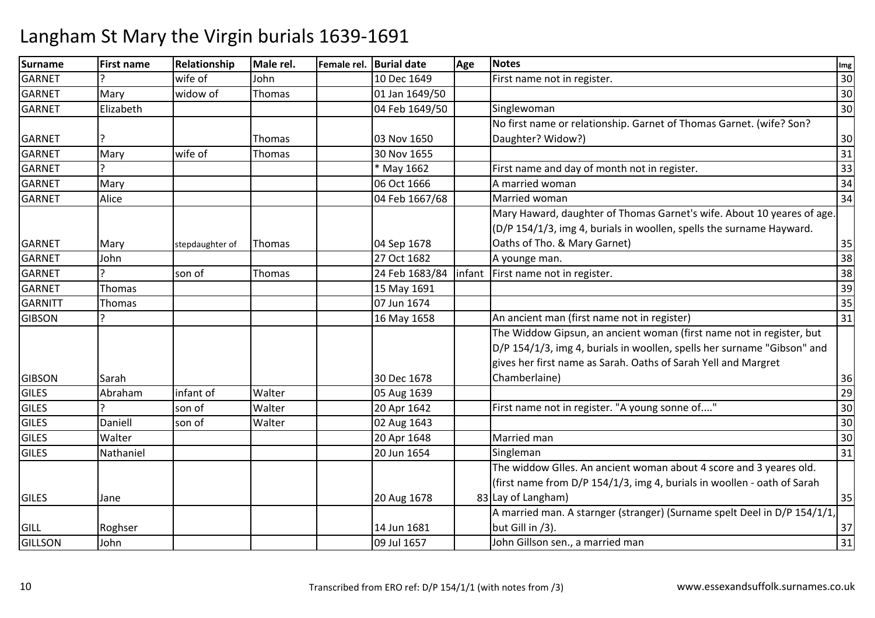| <b>Surname</b> | <b>First name</b> | <b>Relationship</b> | Male rel.     | Female rel. Burial date | Age | <b>Notes</b>                                                             | Img             |
|----------------|-------------------|---------------------|---------------|-------------------------|-----|--------------------------------------------------------------------------|-----------------|
| <b>GARNET</b>  |                   | wife of             | John          | 10 Dec 1649             |     | First name not in register.                                              | 30              |
| <b>GARNET</b>  | Mary              | widow of            | Thomas        | 01 Jan 1649/50          |     |                                                                          | 30              |
| <b>GARNET</b>  | Elizabeth         |                     |               | 04 Feb 1649/50          |     | Singlewoman                                                              | 30              |
|                |                   |                     |               |                         |     | No first name or relationship. Garnet of Thomas Garnet. (wife? Son?      |                 |
| <b>GARNET</b>  |                   |                     | Thomas        | 03 Nov 1650             |     | Daughter? Widow?)                                                        | 30              |
| <b>GARNET</b>  | Mary              | wife of             | <b>Thomas</b> | 30 Nov 1655             |     |                                                                          | 31              |
| <b>GARNET</b>  |                   |                     |               | * May 1662              |     | First name and day of month not in register.                             | 33              |
| <b>GARNET</b>  | Mary              |                     |               | 06 Oct 1666             |     | A married woman                                                          | 34              |
| <b>GARNET</b>  | Alice             |                     |               | 04 Feb 1667/68          |     | Married woman                                                            | 34              |
|                |                   |                     |               |                         |     | Mary Haward, daughter of Thomas Garnet's wife. About 10 yeares of age.   |                 |
|                |                   |                     |               |                         |     | (D/P 154/1/3, img 4, burials in woollen, spells the surname Hayward.     |                 |
| <b>GARNET</b>  | Mary              | stepdaughter of     | <b>Thomas</b> | 04 Sep 1678             |     | Oaths of Tho. & Mary Garnet)                                             | 35              |
| <b>GARNET</b>  | John              |                     |               | 27 Oct 1682             |     | A younge man.                                                            | 38              |
| <b>GARNET</b>  | C                 | son of              | Thomas        | 24 Feb 1683/84          |     | infant   First name not in register.                                     | 38              |
| <b>GARNET</b>  | Thomas            |                     |               | 15 May 1691             |     |                                                                          | 39              |
| <b>GARNITT</b> | Thomas            |                     |               | 07 Jun 1674             |     |                                                                          | 35              |
| <b>GIBSON</b>  |                   |                     |               | 16 May 1658             |     | An ancient man (first name not in register)                              | $\overline{31}$ |
|                |                   |                     |               |                         |     | The Widdow Gipsun, an ancient woman (first name not in register, but     |                 |
|                |                   |                     |               |                         |     | D/P 154/1/3, img 4, burials in woollen, spells her surname "Gibson" and  |                 |
|                |                   |                     |               |                         |     | gives her first name as Sarah. Oaths of Sarah Yell and Margret           |                 |
| <b>GIBSON</b>  | Sarah             |                     |               | 30 Dec 1678             |     | Chamberlaine)                                                            | 36              |
| <b>GILES</b>   | Abraham           | infant of           | Walter        | 05 Aug 1639             |     |                                                                          | 29              |
| <b>GILES</b>   |                   | son of              | Walter        | 20 Apr 1642             |     | First name not in register. "A young sonne of"                           | 30              |
| <b>GILES</b>   | Daniell           | son of              | Walter        | 02 Aug 1643             |     |                                                                          | 30              |
| <b>GILES</b>   | Walter            |                     |               | 20 Apr 1648             |     | Married man                                                              | 30              |
| <b>GILES</b>   | Nathaniel         |                     |               | 20 Jun 1654             |     | Singleman                                                                | 31              |
|                |                   |                     |               |                         |     | The widdow Glles. An ancient woman about 4 score and 3 yeares old.       |                 |
|                |                   |                     |               |                         |     | (first name from D/P 154/1/3, img 4, burials in woollen - oath of Sarah  |                 |
| <b>GILES</b>   | Jane              |                     |               | 20 Aug 1678             |     | 83 Lay of Langham)                                                       | 35              |
|                |                   |                     |               |                         |     | A married man. A starnger (stranger) (Surname spelt Deel in D/P 154/1/1, |                 |
| <b>GILL</b>    | Roghser           |                     |               | 14 Jun 1681             |     | but Gill in /3).                                                         | 37              |
| <b>GILLSON</b> | John              |                     |               | 09 Jul 1657             |     | John Gillson sen., a married man                                         | 31              |
|                |                   |                     |               |                         |     |                                                                          |                 |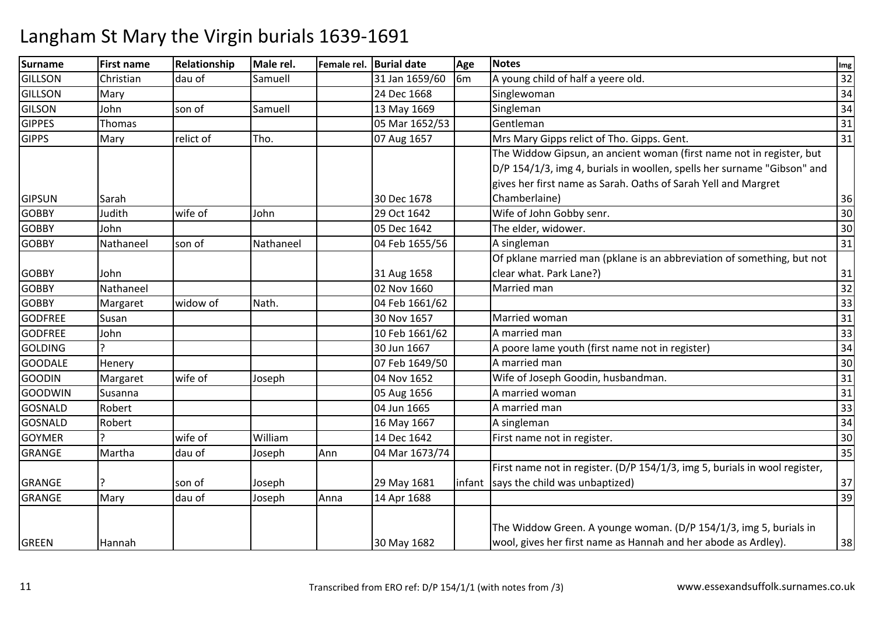| Christian<br>Mary | dau of    | Samuell   |      |                |                |                                                                            |                                                                                                                                                                                   |
|-------------------|-----------|-----------|------|----------------|----------------|----------------------------------------------------------------------------|-----------------------------------------------------------------------------------------------------------------------------------------------------------------------------------|
|                   |           |           |      | 31 Jan 1659/60 | 6 <sub>m</sub> | A young child of half a yeere old.                                         | 32                                                                                                                                                                                |
|                   |           |           |      | 24 Dec 1668    |                | Singlewoman                                                                | 34                                                                                                                                                                                |
| John              | son of    | Samuell   |      | 13 May 1669    |                | Singleman                                                                  | 34                                                                                                                                                                                |
| Thomas            |           |           |      | 05 Mar 1652/53 |                | Gentleman                                                                  | 31                                                                                                                                                                                |
| Mary              | relict of | Tho.      |      | 07 Aug 1657    |                | Mrs Mary Gipps relict of Tho. Gipps. Gent.                                 | 31                                                                                                                                                                                |
|                   |           |           |      |                |                | The Widdow Gipsun, an ancient woman (first name not in register, but       |                                                                                                                                                                                   |
|                   |           |           |      |                |                | D/P 154/1/3, img 4, burials in woollen, spells her surname "Gibson" and    |                                                                                                                                                                                   |
|                   |           |           |      |                |                | gives her first name as Sarah. Oaths of Sarah Yell and Margret             |                                                                                                                                                                                   |
| Sarah             |           |           |      | 30 Dec 1678    |                | Chamberlaine)                                                              | 36                                                                                                                                                                                |
| Judith            | wife of   | John      |      | 29 Oct 1642    |                | Wife of John Gobby senr.                                                   | 30                                                                                                                                                                                |
| John              |           |           |      | 05 Dec 1642    |                | The elder, widower.                                                        | 30                                                                                                                                                                                |
| Nathaneel         | son of    | Nathaneel |      | 04 Feb 1655/56 |                | A singleman                                                                | 31                                                                                                                                                                                |
|                   |           |           |      |                |                |                                                                            |                                                                                                                                                                                   |
| John              |           |           |      | 31 Aug 1658    |                | clear what. Park Lane?)                                                    | 31                                                                                                                                                                                |
| Nathaneel         |           |           |      | 02 Nov 1660    |                | Married man                                                                | 32                                                                                                                                                                                |
| Margaret          | widow of  | Nath.     |      | 04 Feb 1661/62 |                |                                                                            | 33                                                                                                                                                                                |
| Susan             |           |           |      | 30 Nov 1657    |                | Married woman                                                              | 31                                                                                                                                                                                |
| John              |           |           |      | 10 Feb 1661/62 |                | A married man                                                              | 33                                                                                                                                                                                |
|                   |           |           |      | 30 Jun 1667    |                | A poore lame youth (first name not in register)                            | 34                                                                                                                                                                                |
| Henery            |           |           |      | 07 Feb 1649/50 |                | A married man                                                              | 30                                                                                                                                                                                |
| Margaret          | wife of   | Joseph    |      | 04 Nov 1652    |                | Wife of Joseph Goodin, husbandman.                                         | 31                                                                                                                                                                                |
| Susanna           |           |           |      | 05 Aug 1656    |                | A married woman                                                            | 31                                                                                                                                                                                |
| Robert            |           |           |      | 04 Jun 1665    |                | A married man                                                              | 33                                                                                                                                                                                |
| Robert            |           |           |      | 16 May 1667    |                | A singleman                                                                | 34                                                                                                                                                                                |
|                   | wife of   | William   |      | 14 Dec 1642    |                | First name not in register.                                                | 30                                                                                                                                                                                |
| Martha            | dau of    | Joseph    | Ann  | 04 Mar 1673/74 |                |                                                                            | 35                                                                                                                                                                                |
|                   |           |           |      |                |                | First name not in register. (D/P 154/1/3, img 5, burials in wool register, |                                                                                                                                                                                   |
|                   | son of    | Joseph    |      | 29 May 1681    |                |                                                                            | 37                                                                                                                                                                                |
| Mary              | dau of    | Joseph    | Anna | 14 Apr 1688    |                |                                                                            | 39                                                                                                                                                                                |
|                   |           |           |      |                |                | The Widdow Green. A younge woman. (D/P 154/1/3, img 5, burials in          | 38                                                                                                                                                                                |
|                   | Hannah    |           |      |                | 30 May 1682    |                                                                            | Of pklane married man (pklane is an abbreviation of something, but not<br>infant says the child was unbaptized)<br>wool, gives her first name as Hannah and her abode as Ardley). |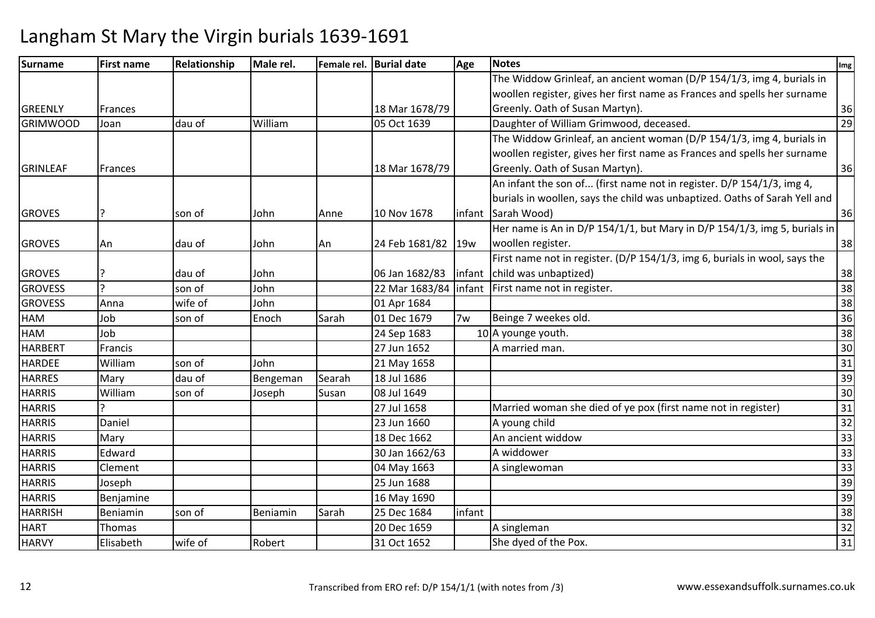| Surname         | <b>First name</b> | Relationship | Male rel. |        | Female rel. Burial date | Age    | <b>Notes</b>                                                               | Img |
|-----------------|-------------------|--------------|-----------|--------|-------------------------|--------|----------------------------------------------------------------------------|-----|
|                 |                   |              |           |        |                         |        | The Widdow Grinleaf, an ancient woman (D/P 154/1/3, img 4, burials in      |     |
|                 |                   |              |           |        |                         |        | woollen register, gives her first name as Frances and spells her surname   |     |
| GREENLY         | Frances           |              |           |        | 18 Mar 1678/79          |        | Greenly. Oath of Susan Martyn).                                            | 36  |
| <b>GRIMWOOD</b> | Joan              | dau of       | William   |        | 05 Oct 1639             |        | Daughter of William Grimwood, deceased.                                    | 29  |
|                 |                   |              |           |        |                         |        | The Widdow Grinleaf, an ancient woman (D/P 154/1/3, img 4, burials in      |     |
|                 |                   |              |           |        |                         |        | woollen register, gives her first name as Frances and spells her surname   |     |
| <b>GRINLEAF</b> | Frances           |              |           |        | 18 Mar 1678/79          |        | Greenly. Oath of Susan Martyn).                                            | 36  |
|                 |                   |              |           |        |                         |        | An infant the son of (first name not in register. D/P 154/1/3, img 4,      |     |
|                 |                   |              |           |        |                         |        | burials in woollen, says the child was unbaptized. Oaths of Sarah Yell and |     |
| <b>GROVES</b>   |                   | son of       | John      | Anne   | 10 Nov 1678             | infant | Sarah Wood)                                                                | 36  |
|                 |                   |              |           |        |                         |        | Her name is An in D/P 154/1/1, but Mary in D/P 154/1/3, img 5, burials in  |     |
| <b>GROVES</b>   | An                | dau of       | John      | An     | 24 Feb 1681/82 19w      |        | woollen register.                                                          | 38  |
|                 |                   |              |           |        |                         |        | First name not in register. (D/P 154/1/3, img 6, burials in wool, says the |     |
| <b>GROVES</b>   | 7                 | dau of       | John      |        | 06 Jan 1682/83          |        | infant child was unbaptized)                                               | 38  |
| <b>GROVESS</b>  | $\mathbf{D}$      | son of       | John      |        | 22 Mar 1683/84          |        | infant First name not in register.                                         | 38  |
| <b>GROVESS</b>  | Anna              | wife of      | John      |        | 01 Apr 1684             |        |                                                                            | 38  |
| HAM             | Job               | son of       | Enoch     | Sarah  | 01 Dec 1679             | 7w     | Beinge 7 weekes old.                                                       | 36  |
| <b>HAM</b>      | Job               |              |           |        | 24 Sep 1683             |        | 10 A younge youth.                                                         | 38  |
| <b>HARBERT</b>  | Francis           |              |           |        | 27 Jun 1652             |        | A married man.                                                             | 30  |
| <b>HARDEE</b>   | William           | son of       | John      |        | 21 May 1658             |        |                                                                            | 31  |
| <b>HARRES</b>   | Mary              | dau of       | Bengeman  | Searah | 18 Jul 1686             |        |                                                                            | 39  |
| <b>HARRIS</b>   | William           | son of       | Joseph    | Susan  | 08 Jul 1649             |        |                                                                            | 30  |
| <b>HARRIS</b>   |                   |              |           |        | 27 Jul 1658             |        | Married woman she died of ye pox (first name not in register)              | 31  |
| <b>HARRIS</b>   | Daniel            |              |           |        | 23 Jun 1660             |        | A young child                                                              | 32  |
| <b>HARRIS</b>   | Mary              |              |           |        | 18 Dec 1662             |        | An ancient widdow                                                          | 33  |
| <b>HARRIS</b>   | Edward            |              |           |        | 30 Jan 1662/63          |        | A widdower                                                                 | 33  |
| <b>HARRIS</b>   | Clement           |              |           |        | 04 May 1663             |        | A singlewoman                                                              | 33  |
| <b>HARRIS</b>   | Joseph            |              |           |        | 25 Jun 1688             |        |                                                                            | 39  |
| <b>HARRIS</b>   | Benjamine         |              |           |        | 16 May 1690             |        |                                                                            | 39  |
| <b>HARRISH</b>  | Beniamin          | son of       | Beniamin  | Sarah  | 25 Dec 1684             | infant |                                                                            | 38  |
| <b>HART</b>     | Thomas            |              |           |        | 20 Dec 1659             |        | A singleman                                                                | 32  |
| <b>HARVY</b>    | Elisabeth         | wife of      | Robert    |        | 31 Oct 1652             |        | She dyed of the Pox.                                                       | 31  |
|                 |                   |              |           |        |                         |        |                                                                            |     |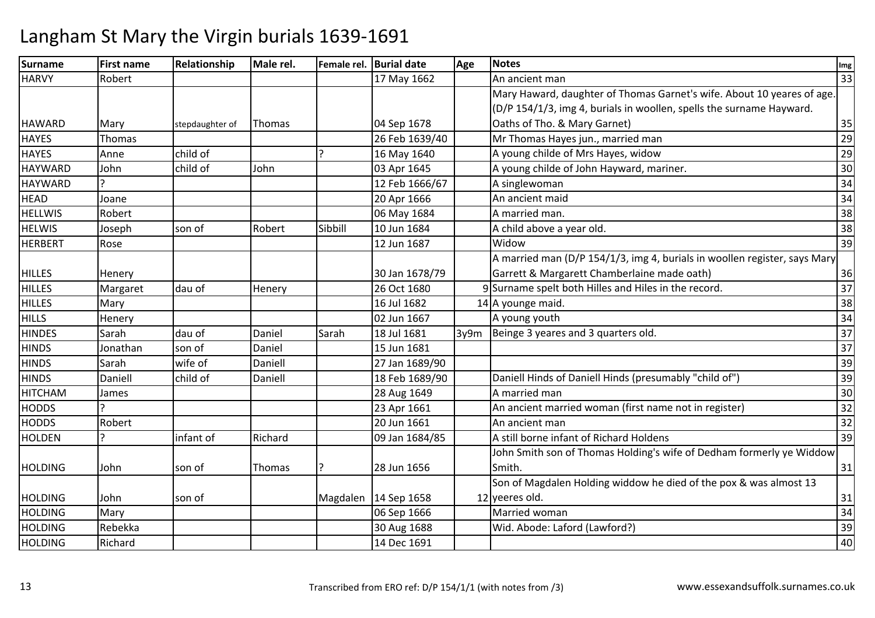| Surname        | <b>First name</b> | Relationship    | Male rel.     |          | Female rel. Burial date | Age  | <b>Notes</b>                                                              | Img             |
|----------------|-------------------|-----------------|---------------|----------|-------------------------|------|---------------------------------------------------------------------------|-----------------|
| <b>HARVY</b>   | Robert            |                 |               |          | 17 May 1662             |      | An ancient man                                                            | 33              |
|                |                   |                 |               |          |                         |      | Mary Haward, daughter of Thomas Garnet's wife. About 10 yeares of age.    |                 |
|                |                   |                 |               |          |                         |      | (D/P 154/1/3, img 4, burials in woollen, spells the surname Hayward.      |                 |
| <b>HAWARD</b>  | Mary              | stepdaughter of | <b>Thomas</b> |          | 04 Sep 1678             |      | Oaths of Tho. & Mary Garnet)                                              | 35              |
| <b>HAYES</b>   | Thomas            |                 |               |          | 26 Feb 1639/40          |      | Mr Thomas Hayes jun., married man                                         | 29              |
| <b>HAYES</b>   | Anne              | child of        |               |          | 16 May 1640             |      | A young childe of Mrs Hayes, widow                                        | 29              |
| <b>HAYWARD</b> | John              | child of        | John          |          | 03 Apr 1645             |      | A young childe of John Hayward, mariner.                                  | 30              |
| <b>HAYWARD</b> |                   |                 |               |          | 12 Feb 1666/67          |      | A singlewoman                                                             | 34              |
| <b>HEAD</b>    | Joane             |                 |               |          | 20 Apr 1666             |      | An ancient maid                                                           | 34              |
| <b>HELLWIS</b> | Robert            |                 |               |          | 06 May 1684             |      | A married man.                                                            | 38              |
| <b>HELWIS</b>  | Joseph            | son of          | Robert        | Sibbill  | 10 Jun 1684             |      | A child above a year old.                                                 | 38              |
| <b>HERBERT</b> | Rose              |                 |               |          | 12 Jun 1687             |      | Widow                                                                     | 39              |
|                |                   |                 |               |          |                         |      | A married man (D/P 154/1/3, img 4, burials in woollen register, says Mary |                 |
| <b>HILLES</b>  | Henery            |                 |               |          | 30 Jan 1678/79          |      | Garrett & Margarett Chamberlaine made oath)                               | 36              |
| <b>HILLES</b>  | Margaret          | dau of          | Henery        |          | 26 Oct 1680             |      | 9 Surname spelt both Hilles and Hiles in the record.                      | 37              |
| <b>HILLES</b>  | Mary              |                 |               |          | 16 Jul 1682             |      | 14 A younge maid.                                                         | 38              |
| <b>HILLS</b>   | Henery            |                 |               |          | 02 Jun 1667             |      | A young youth                                                             | 34              |
| <b>HINDES</b>  | Sarah             | dau of          | Daniel        | Sarah    | 18 Jul 1681             | 3y9m | Beinge 3 yeares and 3 quarters old.                                       | 37              |
| <b>HINDS</b>   | Jonathan          | son of          | Daniel        |          | 15 Jun 1681             |      |                                                                           | 37              |
| <b>HINDS</b>   | Sarah             | wife of         | Daniell       |          | 27 Jan 1689/90          |      |                                                                           | 39              |
| <b>HINDS</b>   | Daniell           | child of        | Daniell       |          | 18 Feb 1689/90          |      | Daniell Hinds of Daniell Hinds (presumably "child of")                    | 39              |
| <b>HITCHAM</b> | James             |                 |               |          | 28 Aug 1649             |      | A married man                                                             | 30              |
| <b>HODDS</b>   |                   |                 |               |          | 23 Apr 1661             |      | An ancient married woman (first name not in register)                     | 32              |
| <b>HODDS</b>   | Robert            |                 |               |          | 20 Jun 1661             |      | An ancient man                                                            | 32              |
| <b>HOLDEN</b>  |                   | infant of       | Richard       |          | 09 Jan 1684/85          |      | A still borne infant of Richard Holdens                                   | 39              |
|                |                   |                 |               |          |                         |      | John Smith son of Thomas Holding's wife of Dedham formerly ye Widdow      |                 |
| <b>HOLDING</b> | John              | son of          | Thomas        |          | 28 Jun 1656             |      | Smith.                                                                    | 31              |
|                |                   |                 |               |          |                         |      | Son of Magdalen Holding widdow he died of the pox & was almost 13         |                 |
| <b>HOLDING</b> | John              | son of          |               | Magdalen | 14 Sep 1658             |      | 12 yeeres old.                                                            | 31              |
| <b>HOLDING</b> | Mary              |                 |               |          | 06 Sep 1666             |      | Married woman                                                             | $\overline{34}$ |
| <b>HOLDING</b> | Rebekka           |                 |               |          | 30 Aug 1688             |      | Wid. Abode: Laford (Lawford?)                                             | 39              |
| <b>HOLDING</b> | Richard           |                 |               |          | 14 Dec 1691             |      |                                                                           | 40              |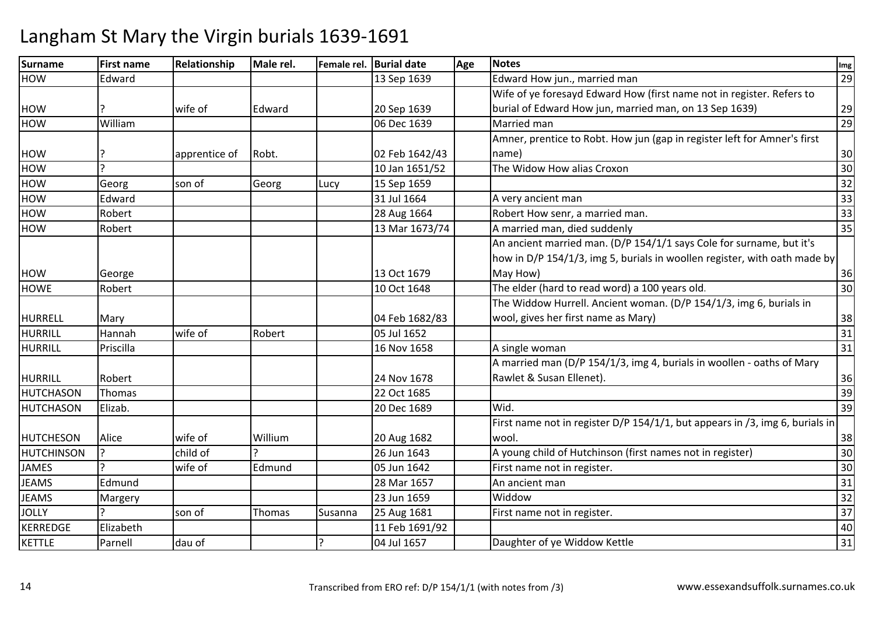| <b>Surname</b>    | <b>First name</b> | Relationship  | Male rel. |         | Female rel. Burial date | Age | <b>Notes</b>                                                                 | Img |
|-------------------|-------------------|---------------|-----------|---------|-------------------------|-----|------------------------------------------------------------------------------|-----|
| <b>HOW</b>        | Edward            |               |           |         | 13 Sep 1639             |     | Edward How jun., married man                                                 | 29  |
|                   |                   |               |           |         |                         |     | Wife of ye foresayd Edward How (first name not in register. Refers to        |     |
| <b>HOW</b>        |                   | wife of       | Edward    |         | 20 Sep 1639             |     | burial of Edward How jun, married man, on 13 Sep 1639)                       | 29  |
| HOW               | William           |               |           |         | 06 Dec 1639             |     | Married man                                                                  | 29  |
|                   |                   |               |           |         |                         |     | Amner, prentice to Robt. How jun (gap in register left for Amner's first     |     |
| <b>HOW</b>        |                   | apprentice of | Robt.     |         | 02 Feb 1642/43          |     | name)                                                                        | 30  |
| <b>HOW</b>        | C                 |               |           |         | 10 Jan 1651/52          |     | The Widow How alias Croxon                                                   | 30  |
| HOW               | Georg             | son of        | Georg     | Lucy    | 15 Sep 1659             |     |                                                                              | 32  |
| <b>HOW</b>        | Edward            |               |           |         | 31 Jul 1664             |     | A very ancient man                                                           | 33  |
| <b>HOW</b>        | Robert            |               |           |         | 28 Aug 1664             |     | Robert How senr, a married man.                                              | 33  |
| HOW               | Robert            |               |           |         | 13 Mar 1673/74          |     | A married man, died suddenly                                                 | 35  |
|                   |                   |               |           |         |                         |     | An ancient married man. (D/P 154/1/1 says Cole for surname, but it's         |     |
|                   |                   |               |           |         |                         |     | how in D/P 154/1/3, img 5, burials in woollen register, with oath made by    |     |
| <b>HOW</b>        | George            |               |           |         | 13 Oct 1679             |     | May How)                                                                     | 36  |
| <b>HOWE</b>       | Robert            |               |           |         | 10 Oct 1648             |     | The elder (hard to read word) a 100 years old.                               | 30  |
|                   |                   |               |           |         |                         |     | The Widdow Hurrell. Ancient woman. (D/P 154/1/3, img 6, burials in           |     |
| <b>HURRELL</b>    | Mary              |               |           |         | 04 Feb 1682/83          |     | wool, gives her first name as Mary)                                          | 38  |
| <b>HURRILL</b>    | Hannah            | wife of       | Robert    |         | 05 Jul 1652             |     |                                                                              | 31  |
| HURRILL           | Priscilla         |               |           |         | 16 Nov 1658             |     | A single woman                                                               | 31  |
|                   |                   |               |           |         |                         |     | A married man (D/P 154/1/3, img 4, burials in woollen - oaths of Mary        |     |
| <b>HURRILL</b>    | Robert            |               |           |         | 24 Nov 1678             |     | Rawlet & Susan Ellenet).                                                     | 36  |
| HUTCHASON         | Thomas            |               |           |         | 22 Oct 1685             |     |                                                                              | 39  |
| <b>HUTCHASON</b>  | Elizab.           |               |           |         | 20 Dec 1689             |     | Wid.                                                                         | 39  |
|                   |                   |               |           |         |                         |     | First name not in register D/P 154/1/1, but appears in /3, img 6, burials in |     |
| <b>HUTCHESON</b>  | Alice             | wife of       | Willium   |         | 20 Aug 1682             |     | wool.                                                                        | 38  |
| <b>HUTCHINSON</b> | $\overline{2}$    | child of      |           |         | 26 Jun 1643             |     | A young child of Hutchinson (first names not in register)                    | 30  |
| <b>JAMES</b>      |                   | wife of       | Edmund    |         | 05 Jun 1642             |     | First name not in register.                                                  | 30  |
| <b>JEAMS</b>      | Edmund            |               |           |         | 28 Mar 1657             |     | An ancient man                                                               | 31  |
| <b>JEAMS</b>      | Margery           |               |           |         | 23 Jun 1659             |     | Widdow                                                                       | 32  |
| <b>JOLLY</b>      |                   | son of        | Thomas    | Susanna | 25 Aug 1681             |     | First name not in register.                                                  | 37  |
| <b>KERREDGE</b>   | Elizabeth         |               |           |         | 11 Feb 1691/92          |     |                                                                              | 40  |
| <b>KETTLE</b>     | Parnell           | dau of        |           |         | 04 Jul 1657             |     | Daughter of ye Widdow Kettle                                                 | 31  |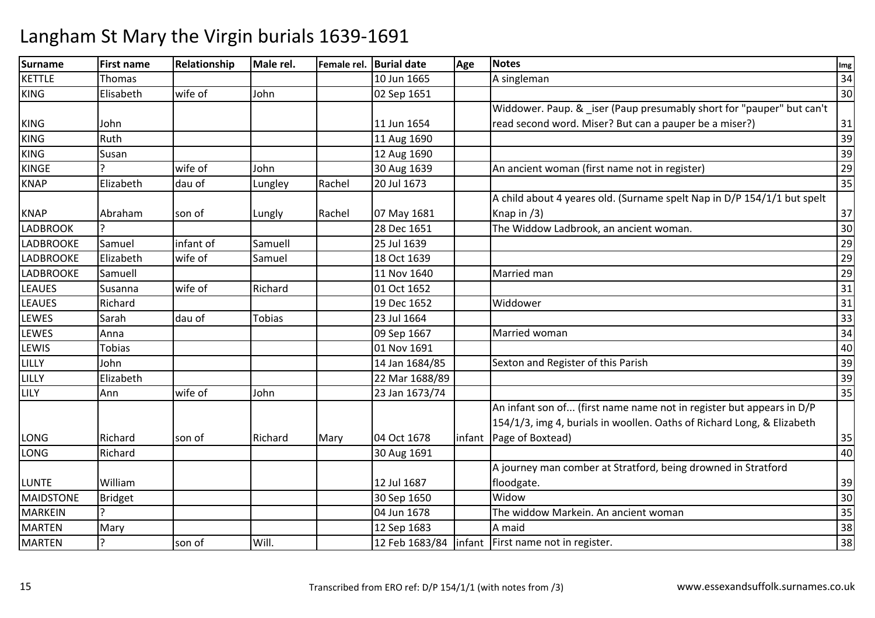| Surname          | <b>First name</b> | Relationship | Male rel.     |        | Female rel. Burial date | Age | <b>Notes</b>                                                            | Img             |
|------------------|-------------------|--------------|---------------|--------|-------------------------|-----|-------------------------------------------------------------------------|-----------------|
| <b>KETTLE</b>    | <b>Thomas</b>     |              |               |        | 10 Jun 1665             |     | A singleman                                                             | 34              |
| <b>KING</b>      | Elisabeth         | wife of      | John          |        | 02 Sep 1651             |     |                                                                         | 30              |
|                  |                   |              |               |        |                         |     | Widdower. Paup. & _iser (Paup presumably short for "pauper" but can't   |                 |
| <b>KING</b>      | John              |              |               |        | 11 Jun 1654             |     | read second word. Miser? But can a pauper be a miser?)                  | 31              |
| <b>KING</b>      | Ruth              |              |               |        | 11 Aug 1690             |     |                                                                         | $\overline{39}$ |
| <b>KING</b>      | Susan             |              |               |        | 12 Aug 1690             |     |                                                                         | 39              |
| <b>KINGE</b>     | C                 | wife of      | John          |        | 30 Aug 1639             |     | An ancient woman (first name not in register)                           | 29              |
| <b>KNAP</b>      | Elizabeth         | dau of       | Lungley       | Rachel | 20 Jul 1673             |     |                                                                         | 35              |
|                  |                   |              |               |        |                         |     | A child about 4 yeares old. (Surname spelt Nap in D/P 154/1/1 but spelt |                 |
| <b>KNAP</b>      | Abraham           | son of       | Lungly        | Rachel | 07 May 1681             |     | Knap in $(3)$                                                           | 37              |
| <b>LADBROOK</b>  | Ç                 |              |               |        | 28 Dec 1651             |     | The Widdow Ladbrook, an ancient woman.                                  | 30              |
| <b>LADBROOKE</b> | Samuel            | infant of    | Samuell       |        | 25 Jul 1639             |     |                                                                         | 29              |
| LADBROOKE        | Elizabeth         | wife of      | Samuel        |        | 18 Oct 1639             |     |                                                                         | 29              |
| <b>LADBROOKE</b> | Samuell           |              |               |        | 11 Nov 1640             |     | Married man                                                             | 29              |
| <b>LEAUES</b>    | Susanna           | wife of      | Richard       |        | 01 Oct 1652             |     |                                                                         | 31              |
| <b>LEAUES</b>    | Richard           |              |               |        | 19 Dec 1652             |     | Widdower                                                                | 31              |
| LEWES            | Sarah             | dau of       | <b>Tobias</b> |        | 23 Jul 1664             |     |                                                                         | $\overline{33}$ |
| <b>LEWES</b>     | Anna              |              |               |        | 09 Sep 1667             |     | Married woman                                                           | $\overline{34}$ |
| LEWIS            | <b>Tobias</b>     |              |               |        | 01 Nov 1691             |     |                                                                         | 40              |
| LILLY            | John              |              |               |        | 14 Jan 1684/85          |     | Sexton and Register of this Parish                                      | 39              |
| LILLY            | Elizabeth         |              |               |        | 22 Mar 1688/89          |     |                                                                         | 39              |
| LILY             | Ann               | wife of      | John          |        | 23 Jan 1673/74          |     |                                                                         | 35              |
|                  |                   |              |               |        |                         |     | An infant son of (first name name not in register but appears in D/P    |                 |
|                  |                   |              |               |        |                         |     | 154/1/3, img 4, burials in woollen. Oaths of Richard Long, & Elizabeth  |                 |
| <b>LONG</b>      | Richard           | son of       | Richard       | Mary   | 04 Oct 1678             |     | infant Page of Boxtead)                                                 | 35              |
| <b>LONG</b>      | Richard           |              |               |        | 30 Aug 1691             |     |                                                                         | 40              |
|                  |                   |              |               |        |                         |     | A journey man comber at Stratford, being drowned in Stratford           |                 |
| <b>LUNTE</b>     | William           |              |               |        | 12 Jul 1687             |     | floodgate.                                                              | 39              |
| <b>MAIDSTONE</b> | Bridget           |              |               |        | 30 Sep 1650             |     | Widow                                                                   | 30              |
| <b>MARKEIN</b>   |                   |              |               |        | 04 Jun 1678             |     | The widdow Markein. An ancient woman                                    | 35              |
| <b>MARTEN</b>    | Mary              |              |               |        | 12 Sep 1683             |     | A maid                                                                  | 38              |
| <b>MARTEN</b>    | Ç                 | son of       | Will.         |        | 12 Feb 1683/84          |     | linfant   First name not in register.                                   | 38              |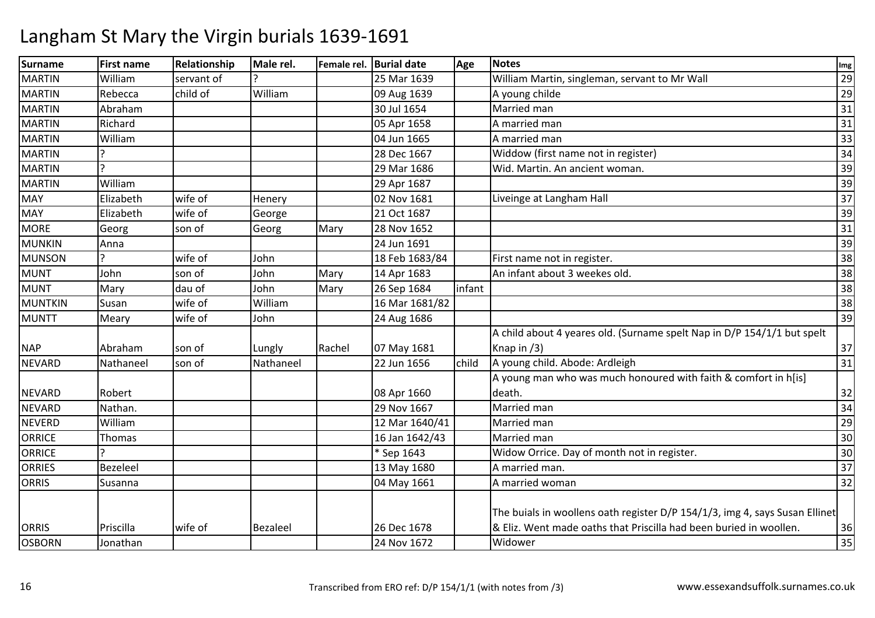| <b>Surname</b> | <b>First name</b> | Relationship | Male rel. |        | Female rel. Burial date | Age    | <b>Notes</b>                                                                | Img |
|----------------|-------------------|--------------|-----------|--------|-------------------------|--------|-----------------------------------------------------------------------------|-----|
| <b>MARTIN</b>  | William           | servant of   |           |        | 25 Mar 1639             |        | William Martin, singleman, servant to Mr Wall                               | 29  |
| <b>MARTIN</b>  | Rebecca           | child of     | William   |        | 09 Aug 1639             |        | A young childe                                                              | 29  |
| <b>MARTIN</b>  | Abraham           |              |           |        | 30 Jul 1654             |        | Married man                                                                 | 31  |
| <b>MARTIN</b>  | Richard           |              |           |        | 05 Apr 1658             |        | A married man                                                               | 31  |
| <b>MARTIN</b>  | William           |              |           |        | 04 Jun 1665             |        | A married man                                                               | 33  |
| <b>MARTIN</b>  |                   |              |           |        | 28 Dec 1667             |        | Widdow (first name not in register)                                         | 34  |
| <b>MARTIN</b>  |                   |              |           |        | 29 Mar 1686             |        | Wid. Martin. An ancient woman.                                              | 39  |
| <b>MARTIN</b>  | William           |              |           |        | 29 Apr 1687             |        |                                                                             | 39  |
| <b>MAY</b>     | Elizabeth         | wife of      | Henery    |        | 02 Nov 1681             |        | Liveinge at Langham Hall                                                    | 37  |
| <b>MAY</b>     | Elizabeth         | wife of      | George    |        | 21 Oct 1687             |        |                                                                             | 39  |
| <b>MORE</b>    | Georg             | son of       | Georg     | Mary   | 28 Nov 1652             |        |                                                                             | 31  |
| <b>MUNKIN</b>  | Anna              |              |           |        | 24 Jun 1691             |        |                                                                             | 39  |
| <b>MUNSON</b>  |                   | wife of      | John      |        | 18 Feb 1683/84          |        | First name not in register.                                                 | 38  |
| <b>MUNT</b>    | John              | son of       | John      | Mary   | 14 Apr 1683             |        | An infant about 3 weekes old.                                               | 38  |
| <b>MUNT</b>    | Mary              | dau of       | John      | Mary   | 26 Sep 1684             | infant |                                                                             | 38  |
| <b>MUNTKIN</b> | Susan             | wife of      | William   |        | 16 Mar 1681/82          |        |                                                                             | 38  |
| <b>MUNTT</b>   | Meary             | wife of      | John      |        | 24 Aug 1686             |        |                                                                             | 39  |
|                |                   |              |           |        |                         |        | A child about 4 yeares old. (Surname spelt Nap in D/P 154/1/1 but spelt     |     |
| <b>NAP</b>     | Abraham           | son of       | Lungly    | Rachel | 07 May 1681             |        | Knap in $(3)$                                                               | 37  |
| <b>NEVARD</b>  | Nathaneel         | son of       | Nathaneel |        | 22 Jun 1656             | child  | A young child. Abode: Ardleigh                                              | 31  |
|                |                   |              |           |        |                         |        | A young man who was much honoured with faith & comfort in h[is]             |     |
| <b>NEVARD</b>  | Robert            |              |           |        | 08 Apr 1660             |        | death.                                                                      | 32  |
| <b>NEVARD</b>  | Nathan.           |              |           |        | 29 Nov 1667             |        | Married man                                                                 | 34  |
| <b>NEVERD</b>  | William           |              |           |        | 12 Mar 1640/41          |        | Married man                                                                 | 29  |
| <b>ORRICE</b>  | Thomas            |              |           |        | 16 Jan 1642/43          |        | Married man                                                                 | 30  |
| <b>ORRICE</b>  |                   |              |           |        | * Sep 1643              |        | Widow Orrice. Day of month not in register.                                 | 30  |
| <b>ORRIES</b>  | Bezeleel          |              |           |        | 13 May 1680             |        | A married man.                                                              | 37  |
| <b>ORRIS</b>   | Susanna           |              |           |        | 04 May 1661             |        | A married woman                                                             | 32  |
|                |                   |              |           |        |                         |        | The buials in woollens oath register D/P 154/1/3, img 4, says Susan Ellinet |     |
| <b>ORRIS</b>   | Priscilla         | wife of      | Bezaleel  |        | 26 Dec 1678             |        | & Eliz. Went made oaths that Priscilla had been buried in woollen.          | 36  |
| <b>OSBORN</b>  | Jonathan          |              |           |        | 24 Nov 1672             |        | Widower                                                                     | 35  |
|                |                   |              |           |        |                         |        |                                                                             |     |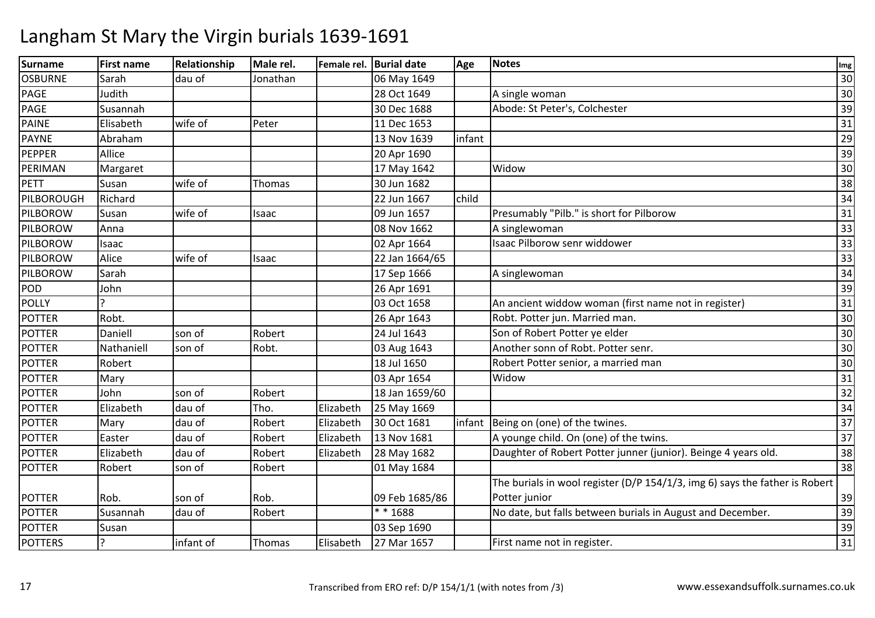| Surname         | <b>First name</b> | Relationship | Male rel. |           | Female rel. Burial date | Age    | <b>Notes</b>                                                                | Img |
|-----------------|-------------------|--------------|-----------|-----------|-------------------------|--------|-----------------------------------------------------------------------------|-----|
| <b>OSBURNE</b>  | Sarah             | dau of       | Jonathan  |           | 06 May 1649             |        |                                                                             | 30  |
| <b>PAGE</b>     | Judith            |              |           |           | 28 Oct 1649             |        | A single woman                                                              | 30  |
| <b>PAGE</b>     | Susannah          |              |           |           | 30 Dec 1688             |        | Abode: St Peter's, Colchester                                               | 39  |
| PAINE           | Elisabeth         | wife of      | Peter     |           | 11 Dec 1653             |        |                                                                             | 31  |
| <b>PAYNE</b>    | Abraham           |              |           |           | 13 Nov 1639             | infant |                                                                             | 29  |
| PEPPER          | Allice            |              |           |           | 20 Apr 1690             |        |                                                                             | 39  |
| PERIMAN         | Margaret          |              |           |           | 17 May 1642             |        | Widow                                                                       | 30  |
| <b>PETT</b>     | Susan             | wife of      | Thomas    |           | 30 Jun 1682             |        |                                                                             | 38  |
| PILBOROUGH      | Richard           |              |           |           | 22 Jun 1667             | child  |                                                                             | 34  |
| PILBOROW        | Susan             | wife of      | Isaac     |           | 09 Jun 1657             |        | Presumably "Pilb." is short for Pilborow                                    | 31  |
| PILBOROW        | Anna              |              |           |           | 08 Nov 1662             |        | A singlewoman                                                               | 33  |
| <b>PILBOROW</b> | Isaac             |              |           |           | 02 Apr 1664             |        | Isaac Pilborow senr widdower                                                | 33  |
| PILBOROW        | Alice             | wife of      | Isaac     |           | 22 Jan 1664/65          |        |                                                                             | 33  |
| PILBOROW        | Sarah             |              |           |           | 17 Sep 1666             |        | A singlewoman                                                               | 34  |
| POD             | John              |              |           |           | 26 Apr 1691             |        |                                                                             | 39  |
| <b>POLLY</b>    |                   |              |           |           | 03 Oct 1658             |        | An ancient widdow woman (first name not in register)                        | 31  |
| <b>POTTER</b>   | Robt.             |              |           |           | 26 Apr 1643             |        | Robt. Potter jun. Married man.                                              | 30  |
| <b>POTTER</b>   | Daniell           | son of       | Robert    |           | 24 Jul 1643             |        | Son of Robert Potter ye elder                                               | 30  |
| <b>POTTER</b>   | Nathaniell        | son of       | Robt.     |           | 03 Aug 1643             |        | Another sonn of Robt. Potter senr.                                          | 30  |
| <b>POTTER</b>   | Robert            |              |           |           | 18 Jul 1650             |        | Robert Potter senior, a married man                                         | 30  |
| <b>POTTER</b>   | Mary              |              |           |           | 03 Apr 1654             |        | Widow                                                                       | 31  |
| <b>POTTER</b>   | John              | son of       | Robert    |           | 18 Jan 1659/60          |        |                                                                             | 32  |
| <b>POTTER</b>   | Elizabeth         | dau of       | Tho.      | Elizabeth | 25 May 1669             |        |                                                                             | 34  |
| <b>POTTER</b>   | Mary              | dau of       | Robert    | Elizabeth | 30 Oct 1681             | infant | Being on (one) of the twines.                                               | 37  |
| <b>POTTER</b>   | Easter            | dau of       | Robert    | Elizabeth | 13 Nov 1681             |        | A younge child. On (one) of the twins.                                      | 37  |
| <b>POTTER</b>   | Elizabeth         | dau of       | Robert    | Elizabeth | 28 May 1682             |        | Daughter of Robert Potter junner (junior). Beinge 4 years old.              | 38  |
| <b>POTTER</b>   | Robert            | son of       | Robert    |           | 01 May 1684             |        |                                                                             | 38  |
|                 |                   |              |           |           |                         |        | The burials in wool register (D/P 154/1/3, img 6) says the father is Robert |     |
| <b>POTTER</b>   | Rob.              | son of       | Rob.      |           | 09 Feb 1685/86          |        | Potter junior                                                               | 39  |
| <b>POTTER</b>   | Susannah          | dau of       | Robert    |           | $* * 1688$              |        | No date, but falls between burials in August and December.                  | 39  |
| <b>POTTER</b>   | Susan             |              |           |           | 03 Sep 1690             |        |                                                                             | 39  |
| <b>POTTERS</b>  | $\overline{?}$    | infant of    | Thomas    | Elisabeth | 27 Mar 1657             |        | First name not in register.                                                 | 31  |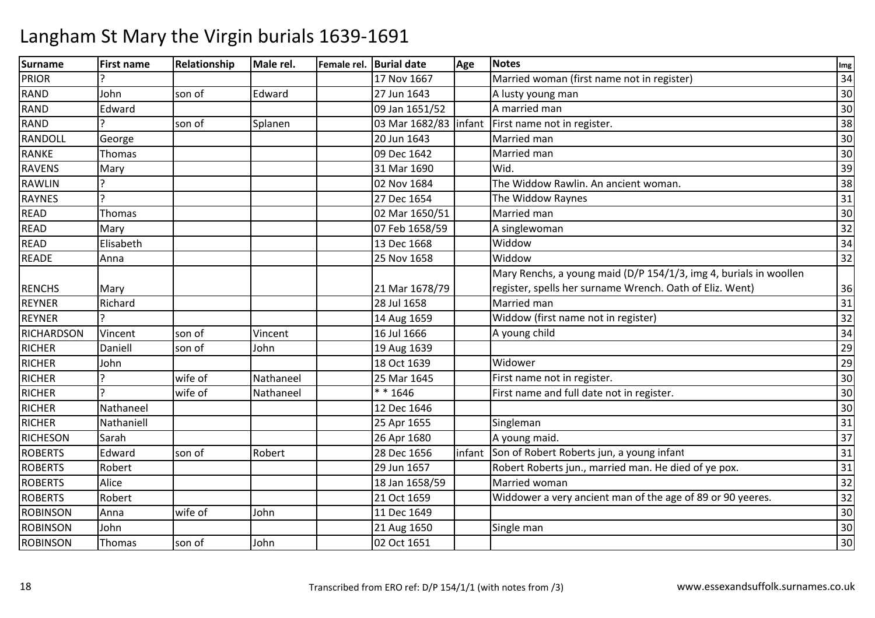| Surname         | <b>First name</b> | Relationship | Male rel. | Female rel. Burial date | Age    | <b>Notes</b>                                                      | Img |
|-----------------|-------------------|--------------|-----------|-------------------------|--------|-------------------------------------------------------------------|-----|
| <b>PRIOR</b>    |                   |              |           | 17 Nov 1667             |        | Married woman (first name not in register)                        | 34  |
| RAND            | John              | son of       | Edward    | 27 Jun 1643             |        | A lusty young man                                                 | 30  |
| RAND            | Edward            |              |           | 09 Jan 1651/52          |        | A married man                                                     | 30  |
| <b>RAND</b>     |                   | son of       | Splanen   | 03 Mar 1682/83   infant |        | First name not in register.                                       | 38  |
| RANDOLL         | George            |              |           | 20 Jun 1643             |        | Married man                                                       | 30  |
| <b>RANKE</b>    | Thomas            |              |           | 09 Dec 1642             |        | Married man                                                       | 30  |
| RAVENS          | Mary              |              |           | 31 Mar 1690             |        | Wid.                                                              | 39  |
| <b>RAWLIN</b>   |                   |              |           | 02 Nov 1684             |        | The Widdow Rawlin. An ancient woman.                              | 38  |
| <b>RAYNES</b>   |                   |              |           | 27 Dec 1654             |        | The Widdow Raynes                                                 | 31  |
| <b>READ</b>     | <b>Thomas</b>     |              |           | 02 Mar 1650/51          |        | Married man                                                       | 30  |
| <b>READ</b>     | Mary              |              |           | 07 Feb 1658/59          |        | A singlewoman                                                     | 32  |
| <b>READ</b>     | Elisabeth         |              |           | 13 Dec 1668             |        | Widdow                                                            | 34  |
| <b>READE</b>    | Anna              |              |           | 25 Nov 1658             |        | Widdow                                                            | 32  |
|                 |                   |              |           |                         |        | Mary Renchs, a young maid (D/P 154/1/3, img 4, burials in woollen |     |
| <b>RENCHS</b>   | Mary              |              |           | 21 Mar 1678/79          |        | register, spells her surname Wrench. Oath of Eliz. Went)          | 36  |
| <b>REYNER</b>   | Richard           |              |           | 28 Jul 1658             |        | Married man                                                       | 31  |
| <b>REYNER</b>   |                   |              |           | 14 Aug 1659             |        | Widdow (first name not in register)                               | 32  |
| RICHARDSON      | Vincent           | son of       | Vincent   | 16 Jul 1666             |        | A young child                                                     | 34  |
| <b>RICHER</b>   | Daniell           | son of       | John      | 19 Aug 1639             |        |                                                                   | 29  |
| <b>RICHER</b>   | John              |              |           | 18 Oct 1639             |        | Widower                                                           | 29  |
| <b>RICHER</b>   |                   | wife of      | Nathaneel | 25 Mar 1645             |        | First name not in register.                                       | 30  |
| <b>RICHER</b>   | $\overline{a}$    | wife of      | Nathaneel | $* * 1646$              |        | First name and full date not in register.                         | 30  |
| <b>RICHER</b>   | Nathaneel         |              |           | 12 Dec 1646             |        |                                                                   | 30  |
| <b>RICHER</b>   | Nathaniell        |              |           | 25 Apr 1655             |        | Singleman                                                         | 31  |
| <b>RICHESON</b> | Sarah             |              |           | 26 Apr 1680             |        | A young maid.                                                     | 37  |
| <b>ROBERTS</b>  | Edward            | son of       | Robert    | 28 Dec 1656             | infant | Son of Robert Roberts jun, a young infant                         | 31  |
| <b>ROBERTS</b>  | Robert            |              |           | 29 Jun 1657             |        | Robert Roberts jun., married man. He died of ye pox.              | 31  |
| <b>ROBERTS</b>  | Alice             |              |           | 18 Jan 1658/59          |        | Married woman                                                     | 32  |
| <b>ROBERTS</b>  | Robert            |              |           | 21 Oct 1659             |        | Widdower a very ancient man of the age of 89 or 90 yeeres.        | 32  |
| <b>ROBINSON</b> | Anna              | wife of      | John      | 11 Dec 1649             |        |                                                                   | 30  |
| <b>ROBINSON</b> | John              |              |           | 21 Aug 1650             |        | Single man                                                        | 30  |
| <b>ROBINSON</b> | Thomas            | son of       | John      | 02 Oct 1651             |        |                                                                   | 30  |
|                 |                   |              |           |                         |        |                                                                   |     |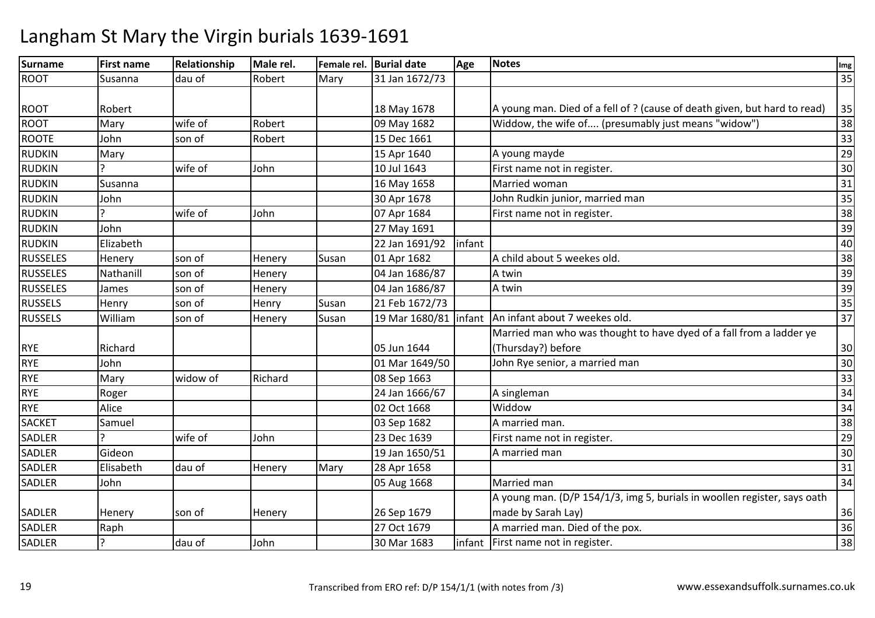| Surname         | <b>First name</b> | Relationship | Male rel. | Female rel. | <b>Burial date</b>      | Age    | <b>Notes</b>                                                              | Img             |
|-----------------|-------------------|--------------|-----------|-------------|-------------------------|--------|---------------------------------------------------------------------------|-----------------|
| <b>ROOT</b>     | Susanna           | dau of       | Robert    | Mary        | 31 Jan 1672/73          |        |                                                                           | 35              |
|                 |                   |              |           |             |                         |        |                                                                           |                 |
| <b>ROOT</b>     | Robert            |              |           |             | 18 May 1678             |        | A young man. Died of a fell of ? (cause of death given, but hard to read) | 35              |
| <b>ROOT</b>     | Mary              | wife of      | Robert    |             | 09 May 1682             |        | Widdow, the wife of (presumably just means "widow")                       | 38              |
| <b>ROOTE</b>    | John              | son of       | Robert    |             | 15 Dec 1661             |        |                                                                           | 33              |
| <b>RUDKIN</b>   | Mary              |              |           |             | 15 Apr 1640             |        | A young mayde                                                             | 29              |
| <b>RUDKIN</b>   |                   | wife of      | John      |             | 10 Jul 1643             |        | First name not in register.                                               | 30              |
| <b>RUDKIN</b>   | Susanna           |              |           |             | 16 May 1658             |        | Married woman                                                             | 31              |
| <b>RUDKIN</b>   | John              |              |           |             | 30 Apr 1678             |        | John Rudkin junior, married man                                           | 35              |
| <b>RUDKIN</b>   |                   | wife of      | John      |             | 07 Apr 1684             |        | First name not in register.                                               | 38              |
| <b>RUDKIN</b>   | John              |              |           |             | 27 May 1691             |        |                                                                           | 39              |
| <b>RUDKIN</b>   | Elizabeth         |              |           |             | 22 Jan 1691/92          | infant |                                                                           | 40              |
| <b>RUSSELES</b> | Henery            | son of       | Henery    | Susan       | 01 Apr 1682             |        | A child about 5 weekes old.                                               | 38              |
| <b>RUSSELES</b> | Nathanill         | son of       | Henery    |             | 04 Jan 1686/87          |        | A twin                                                                    | 39              |
| <b>RUSSELES</b> | James             | son of       | Henery    |             | 04 Jan 1686/87          |        | A twin                                                                    | 39              |
| <b>RUSSELS</b>  | Henry             | son of       | Henry     | Susan       | 21 Feb 1672/73          |        |                                                                           | 35              |
| <b>RUSSELS</b>  | William           | son of       | Henery    | Susan       | 19 Mar 1680/81   infant |        | An infant about 7 weekes old.                                             | $\overline{37}$ |
|                 |                   |              |           |             |                         |        | Married man who was thought to have dyed of a fall from a ladder ye       |                 |
| <b>RYE</b>      | Richard           |              |           |             | 05 Jun 1644             |        | (Thursday?) before                                                        | 30              |
| <b>RYE</b>      | John              |              |           |             | 01 Mar 1649/50          |        | John Rye senior, a married man                                            | 30              |
| <b>RYE</b>      | Mary              | widow of     | Richard   |             | 08 Sep 1663             |        |                                                                           | 33              |
| <b>RYE</b>      | Roger             |              |           |             | 24 Jan 1666/67          |        | A singleman                                                               | 34              |
| <b>RYE</b>      | Alice             |              |           |             | 02 Oct 1668             |        | Widdow                                                                    | 34              |
| <b>SACKET</b>   | Samuel            |              |           |             | 03 Sep 1682             |        | A married man.                                                            | 38              |
| <b>SADLER</b>   |                   | wife of      | John      |             | 23 Dec 1639             |        | First name not in register.                                               | 29              |
| SADLER          | Gideon            |              |           |             | 19 Jan 1650/51          |        | A married man                                                             | 30              |
| SADLER          | Elisabeth         | dau of       | Henery    | Mary        | 28 Apr 1658             |        |                                                                           | 31              |
| <b>SADLER</b>   | John              |              |           |             | 05 Aug 1668             |        | Married man                                                               | 34              |
|                 |                   |              |           |             |                         |        | A young man. (D/P 154/1/3, img 5, burials in woollen register, says oath  |                 |
| SADLER          | Henery            | son of       | Henery    |             | 26 Sep 1679             |        | made by Sarah Lay)                                                        | 36              |
| SADLER          | Raph              |              |           |             | 27 Oct 1679             |        | A married man. Died of the pox.                                           | 36              |
| <b>SADLER</b>   | ς                 | dau of       | John      |             | 30 Mar 1683             |        | infant   First name not in register.                                      | 38              |
|                 |                   |              |           |             |                         |        |                                                                           |                 |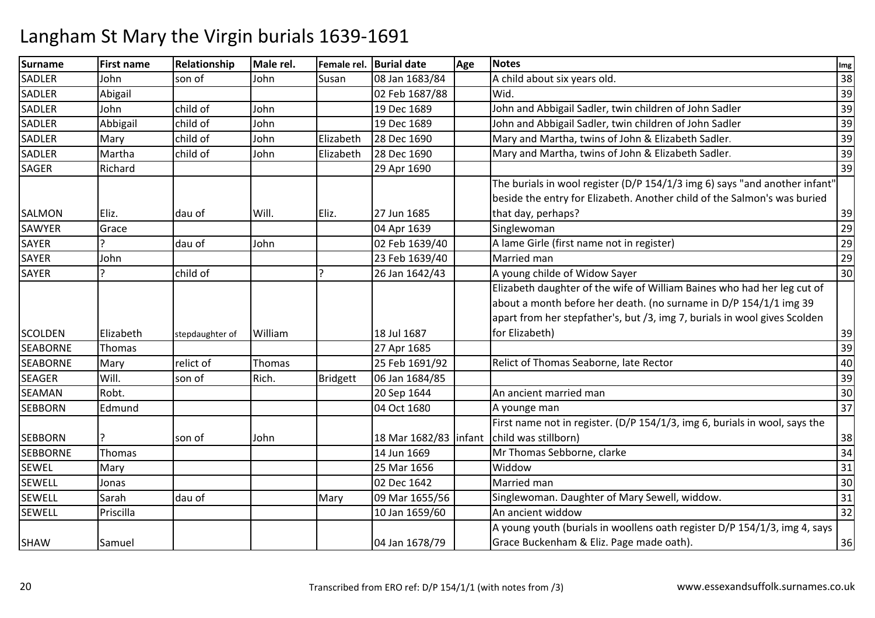| Surname         | <b>First name</b> | Relationship    | Male rel. |                 | Female rel. Burial date | Age | <b>Notes</b>                                                                                                                                                                                                              | Img |
|-----------------|-------------------|-----------------|-----------|-----------------|-------------------------|-----|---------------------------------------------------------------------------------------------------------------------------------------------------------------------------------------------------------------------------|-----|
| <b>SADLER</b>   | John              | son of          | John      | Susan           | 08 Jan 1683/84          |     | A child about six years old.                                                                                                                                                                                              | 38  |
| <b>SADLER</b>   | Abigail           |                 |           |                 | 02 Feb 1687/88          |     | Wid.                                                                                                                                                                                                                      | 39  |
| <b>SADLER</b>   | John              | child of        | John      |                 | 19 Dec 1689             |     | John and Abbigail Sadler, twin children of John Sadler                                                                                                                                                                    | 39  |
| <b>SADLER</b>   | Abbigail          | child of        | John      |                 | 19 Dec 1689             |     | John and Abbigail Sadler, twin children of John Sadler                                                                                                                                                                    | 39  |
| <b>SADLER</b>   | Mary              | child of        | John      | Elizabeth       | 28 Dec 1690             |     | Mary and Martha, twins of John & Elizabeth Sadler.                                                                                                                                                                        | 39  |
| <b>SADLER</b>   | Martha            | child of        | John      | Elizabeth       | 28 Dec 1690             |     | Mary and Martha, twins of John & Elizabeth Sadler.                                                                                                                                                                        | 39  |
| <b>SAGER</b>    | Richard           |                 |           |                 | 29 Apr 1690             |     |                                                                                                                                                                                                                           | 39  |
|                 |                   |                 |           |                 |                         |     | The burials in wool register (D/P 154/1/3 img 6) says "and another infant"<br>beside the entry for Elizabeth. Another child of the Salmon's was buried                                                                    |     |
| SALMON          | IEliz.            | dau of          | Will.     | Eliz.           | 27 Jun 1685             |     | that day, perhaps?                                                                                                                                                                                                        | 39  |
| SAWYER          | Grace             |                 |           |                 | 04 Apr 1639             |     | Singlewoman                                                                                                                                                                                                               | 29  |
| <b>SAYER</b>    |                   | dau of          | John      |                 | 02 Feb 1639/40          |     | A lame Girle (first name not in register)                                                                                                                                                                                 | 29  |
| <b>SAYER</b>    | John              |                 |           |                 | 23 Feb 1639/40          |     | Married man                                                                                                                                                                                                               | 29  |
| SAYER           | ς                 | child of        |           |                 | 26 Jan 1642/43          |     | A young childe of Widow Sayer                                                                                                                                                                                             | 30  |
|                 |                   |                 |           |                 |                         |     | Elizabeth daughter of the wife of William Baines who had her leg cut of<br>about a month before her death. (no surname in D/P 154/1/1 img 39<br>apart from her stepfather's, but /3, img 7, burials in wool gives Scolden |     |
| <b>SCOLDEN</b>  | Elizabeth         | stepdaughter of | William   |                 | 18 Jul 1687             |     | for Elizabeth)                                                                                                                                                                                                            | 39  |
| <b>SEABORNE</b> | Thomas            |                 |           |                 | 27 Apr 1685             |     |                                                                                                                                                                                                                           | 39  |
| <b>SEABORNE</b> | Mary              | relict of       | Thomas    |                 | 25 Feb 1691/92          |     | Relict of Thomas Seaborne, late Rector                                                                                                                                                                                    | 40  |
| <b>SEAGER</b>   | Will.             | son of          | Rich.     | <b>Bridgett</b> | 06 Jan 1684/85          |     |                                                                                                                                                                                                                           | 39  |
| <b>SEAMAN</b>   | Robt.             |                 |           |                 | 20 Sep 1644             |     | An ancient married man                                                                                                                                                                                                    | 30  |
| <b>SEBBORN</b>  | Edmund            |                 |           |                 | 04 Oct 1680             |     | A younge man                                                                                                                                                                                                              | 37  |
|                 |                   |                 |           |                 |                         |     | First name not in register. (D/P 154/1/3, img 6, burials in wool, says the                                                                                                                                                |     |
| <b>SEBBORN</b>  |                   | son of          | John      |                 | 18 Mar 1682/83   infant |     | child was stillborn)                                                                                                                                                                                                      | 38  |
| <b>SEBBORNE</b> | Thomas            |                 |           |                 | 14 Jun 1669             |     | Mr Thomas Sebborne, clarke                                                                                                                                                                                                | 34  |
| <b>SEWEL</b>    | Mary              |                 |           |                 | 25 Mar 1656             |     | Widdow                                                                                                                                                                                                                    | 31  |
| <b>SEWELL</b>   | Jonas             |                 |           |                 | 02 Dec 1642             |     | Married man                                                                                                                                                                                                               | 30  |
| SEWELL          | Sarah             | dau of          |           | Mary            | 09 Mar 1655/56          |     | Singlewoman. Daughter of Mary Sewell, widdow.                                                                                                                                                                             | 31  |
| <b>SEWELL</b>   | Priscilla         |                 |           |                 | 10 Jan 1659/60          |     | An ancient widdow                                                                                                                                                                                                         | 32  |
| <b>SHAW</b>     | Samuel            |                 |           |                 | 04 Jan 1678/79          |     | A young youth (burials in woollens oath register D/P 154/1/3, img 4, says<br>Grace Buckenham & Eliz. Page made oath).                                                                                                     | 36  |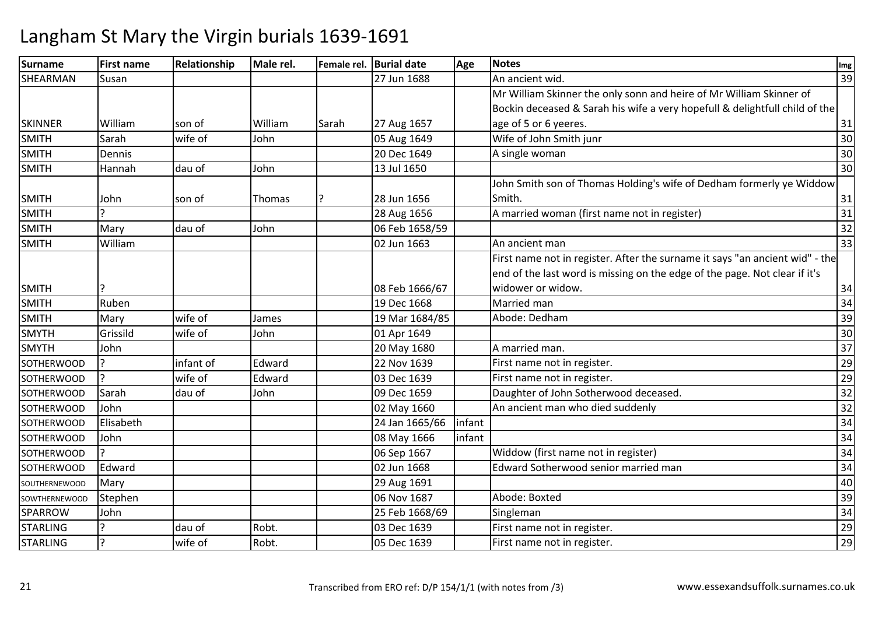| <b>Surname</b>       | <b>First name</b> | Relationship | Male rel. |       | Female rel. Burial date | Age    | <b>Notes</b>                                                                 | Img |
|----------------------|-------------------|--------------|-----------|-------|-------------------------|--------|------------------------------------------------------------------------------|-----|
| SHEARMAN             | Susan             |              |           |       | 27 Jun 1688             |        | An ancient wid.                                                              | 39  |
|                      |                   |              |           |       |                         |        | Mr William Skinner the only sonn and heire of Mr William Skinner of          |     |
|                      |                   |              |           |       |                         |        | Bockin deceased & Sarah his wife a very hopefull & delightfull child of the  |     |
| <b>SKINNER</b>       | William           | son of       | William   | Sarah | 27 Aug 1657             |        | age of 5 or 6 yeeres.                                                        | 31  |
| <b>SMITH</b>         | Sarah             | wife of      | John      |       | 05 Aug 1649             |        | Wife of John Smith junr                                                      | 30  |
| <b>SMITH</b>         | Dennis            |              |           |       | 20 Dec 1649             |        | A single woman                                                               | 30  |
| <b>SMITH</b>         | Hannah            | dau of       | John      |       | 13 Jul 1650             |        |                                                                              | 30  |
|                      |                   |              |           |       |                         |        | John Smith son of Thomas Holding's wife of Dedham formerly ye Widdow         |     |
| <b>SMITH</b>         | John              | son of       | Thomas    |       | 28 Jun 1656             |        | Smith.                                                                       | 31  |
| <b>SMITH</b>         |                   |              |           |       | 28 Aug 1656             |        | A married woman (first name not in register)                                 | 31  |
| <b>SMITH</b>         | Mary              | dau of       | John      |       | 06 Feb 1658/59          |        |                                                                              | 32  |
| <b>SMITH</b>         | William           |              |           |       | 02 Jun 1663             |        | An ancient man                                                               | 33  |
|                      |                   |              |           |       |                         |        | First name not in register. After the surname it says "an ancient wid" - the |     |
|                      |                   |              |           |       |                         |        | end of the last word is missing on the edge of the page. Not clear if it's   |     |
| <b>SMITH</b>         |                   |              |           |       | 08 Feb 1666/67          |        | widower or widow.                                                            | 34  |
| <b>SMITH</b>         | Ruben             |              |           |       | 19 Dec 1668             |        | Married man                                                                  | 34  |
| <b>SMITH</b>         | Mary              | wife of      | James     |       | 19 Mar 1684/85          |        | Abode: Dedham                                                                | 39  |
| <b>SMYTH</b>         | Grissild          | wife of      | John      |       | 01 Apr 1649             |        |                                                                              | 30  |
| <b>SMYTH</b>         | John              |              |           |       | 20 May 1680             |        | A married man.                                                               | 37  |
| <b>SOTHERWOOD</b>    |                   | infant of    | Edward    |       | 22 Nov 1639             |        | First name not in register.                                                  | 29  |
| <b>SOTHERWOOD</b>    |                   | wife of      | Edward    |       | 03 Dec 1639             |        | First name not in register.                                                  | 29  |
| <b>SOTHERWOOD</b>    | Sarah             | dau of       | John      |       | 09 Dec 1659             |        | Daughter of John Sotherwood deceased.                                        | 32  |
| <b>SOTHERWOOD</b>    | John              |              |           |       | 02 May 1660             |        | An ancient man who died suddenly                                             | 32  |
| <b>SOTHERWOOD</b>    | Elisabeth         |              |           |       | 24 Jan 1665/66          | infant |                                                                              | 34  |
| <b>SOTHERWOOD</b>    | John              |              |           |       | 08 May 1666             | infant |                                                                              | 34  |
| <b>SOTHERWOOD</b>    |                   |              |           |       | 06 Sep 1667             |        | Widdow (first name not in register)                                          | 34  |
| <b>SOTHERWOOD</b>    | Edward            |              |           |       | 02 Jun 1668             |        | Edward Sotherwood senior married man                                         | 34  |
| SOUTHERNEWOOD        | Mary              |              |           |       | 29 Aug 1691             |        |                                                                              | 40  |
| <b>SOWTHERNEWOOD</b> | Stephen           |              |           |       | 06 Nov 1687             |        | Abode: Boxted                                                                | 39  |
| <b>SPARROW</b>       | John              |              |           |       | 25 Feb 1668/69          |        | Singleman                                                                    | 34  |
| <b>STARLING</b>      |                   | dau of       | Robt.     |       | 03 Dec 1639             |        | First name not in register.                                                  | 29  |
| <b>STARLING</b>      |                   | wife of      | Robt.     |       | 05 Dec 1639             |        | First name not in register.                                                  | 29  |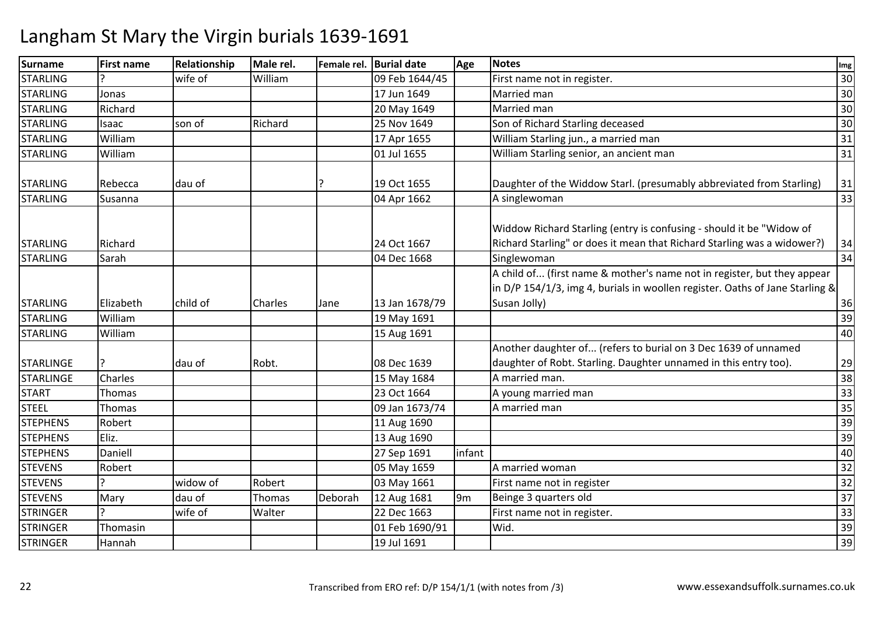| <b>Surname</b>                       | <b>First name</b> | Relationship | Male rel. |         | Female rel. Burial date    | Age            | <b>Notes</b>                                                                                                                                                            | Img      |
|--------------------------------------|-------------------|--------------|-----------|---------|----------------------------|----------------|-------------------------------------------------------------------------------------------------------------------------------------------------------------------------|----------|
| <b>STARLING</b>                      |                   | wife of      | William   |         | 09 Feb 1644/45             |                | First name not in register.                                                                                                                                             | 30       |
| <b>STARLING</b>                      | Jonas             |              |           |         | 17 Jun 1649                |                | Married man                                                                                                                                                             | 30       |
| <b>STARLING</b>                      | Richard           |              |           |         | 20 May 1649                |                | Married man                                                                                                                                                             | 30       |
| <b>STARLING</b>                      | Isaac             | son of       | Richard   |         | 25 Nov 1649                |                | Son of Richard Starling deceased                                                                                                                                        | 30       |
| <b>STARLING</b>                      | William           |              |           |         | 17 Apr 1655                |                | William Starling jun., a married man                                                                                                                                    | 31       |
| <b>STARLING</b>                      | William           |              |           |         | 01 Jul 1655                |                | William Starling senior, an ancient man                                                                                                                                 | 31       |
| <b>STARLING</b>                      | Rebecca           | dau of       |           |         | 19 Oct 1655                |                | Daughter of the Widdow Starl. (presumably abbreviated from Starling)                                                                                                    | 31       |
| <b>STARLING</b>                      | Susanna           |              |           |         | 04 Apr 1662                |                | A singlewoman                                                                                                                                                           | 33       |
| <b>STARLING</b>                      | Richard           |              |           |         | 24 Oct 1667                |                | Widdow Richard Starling (entry is confusing - should it be "Widow of<br>Richard Starling" or does it mean that Richard Starling was a widower?)                         | 34       |
| <b>STARLING</b>                      | Sarah             |              |           |         | 04 Dec 1668                |                | Singlewoman                                                                                                                                                             | 34       |
| <b>STARLING</b>                      | Elizabeth         | child of     | Charles   | Jane    | 13 Jan 1678/79             |                | A child of (first name & mother's name not in register, but they appear<br>in D/P 154/1/3, img 4, burials in woollen register. Oaths of Jane Starling &<br>Susan Jolly) | 36       |
| <b>STARLING</b>                      | William           |              |           |         | 19 May 1691                |                |                                                                                                                                                                         | 39       |
| <b>STARLING</b>                      | William           |              |           |         | 15 Aug 1691                |                |                                                                                                                                                                         | 40       |
| <b>STARLINGE</b><br><b>STARLINGE</b> | Charles           | dau of       | Robt.     |         | 08 Dec 1639<br>15 May 1684 |                | Another daughter of (refers to burial on 3 Dec 1639 of unnamed<br>daughter of Robt. Starling. Daughter unnamed in this entry too).<br>A married man.                    | 29<br>38 |
| <b>START</b>                         | Thomas            |              |           |         | 23 Oct 1664                |                | A young married man                                                                                                                                                     | 33       |
| <b>STEEL</b>                         | Thomas            |              |           |         | 09 Jan 1673/74             |                | A married man                                                                                                                                                           | 35       |
| <b>STEPHENS</b>                      | Robert            |              |           |         | 11 Aug 1690                |                |                                                                                                                                                                         | 39       |
| <b>STEPHENS</b>                      | Eliz.             |              |           |         | 13 Aug 1690                |                |                                                                                                                                                                         | 39       |
| <b>STEPHENS</b>                      | Daniell           |              |           |         | 27 Sep 1691                | infant         |                                                                                                                                                                         | 40       |
| <b>STEVENS</b>                       | Robert            |              |           |         | 05 May 1659                |                | A married woman                                                                                                                                                         | 32       |
| <b>STEVENS</b>                       |                   | widow of     | Robert    |         | 03 May 1661                |                | First name not in register                                                                                                                                              | 32       |
| <b>STEVENS</b>                       | Mary              | dau of       | Thomas    | Deborah | 12 Aug 1681                | 9 <sub>m</sub> | Beinge 3 quarters old                                                                                                                                                   | 37       |
| <b>STRINGER</b>                      |                   | wife of      | Walter    |         | 22 Dec 1663                |                | First name not in register.                                                                                                                                             | 33       |
| <b>STRINGER</b>                      | Thomasin          |              |           |         | 01 Feb 1690/91             |                | Wid.                                                                                                                                                                    | 39       |
| <b>STRINGER</b>                      | Hannah            |              |           |         | 19 Jul 1691                |                |                                                                                                                                                                         | 39       |
|                                      |                   |              |           |         |                            |                |                                                                                                                                                                         |          |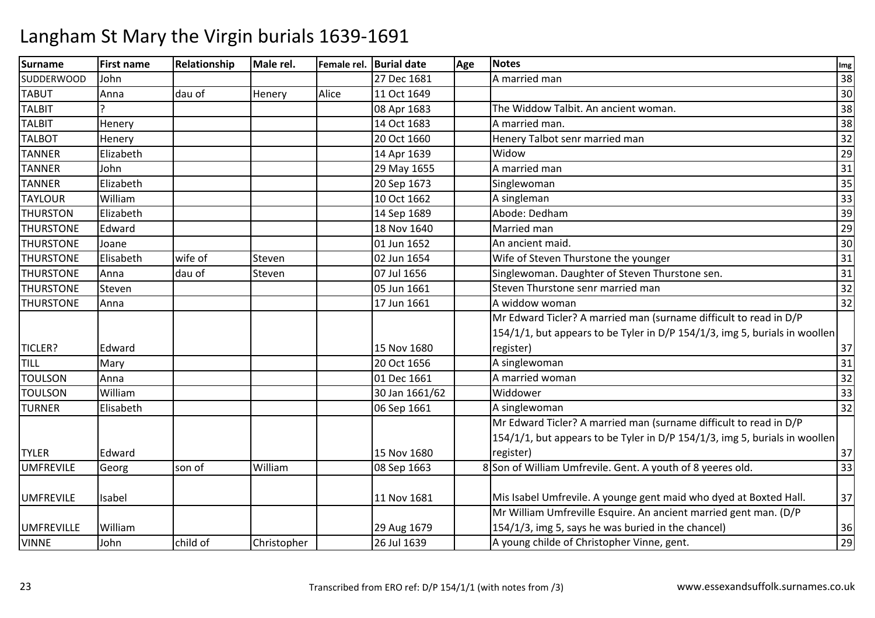| A married man<br><b>SUDDERWOOD</b><br>John<br>27 Dec 1681<br><b>TABUT</b><br>11 Oct 1649<br>Anna<br>dau of<br>Alice<br>Henery<br><b>TALBIT</b><br>08 Apr 1683<br>The Widdow Talbit. An ancient woman.<br><b>TALBIT</b><br>14 Oct 1683<br>A married man.<br>Henery | 38                               |
|-------------------------------------------------------------------------------------------------------------------------------------------------------------------------------------------------------------------------------------------------------------------|----------------------------------|
|                                                                                                                                                                                                                                                                   | 30<br>38<br>38<br>32<br>29<br>31 |
|                                                                                                                                                                                                                                                                   |                                  |
|                                                                                                                                                                                                                                                                   |                                  |
|                                                                                                                                                                                                                                                                   |                                  |
| <b>TALBOT</b><br>20 Oct 1660<br>Henery Talbot senr married man<br>Henery                                                                                                                                                                                          |                                  |
| <b>TANNER</b><br>Elizabeth<br>Widow<br>14 Apr 1639                                                                                                                                                                                                                |                                  |
| A married man<br><b>TANNER</b><br>John<br>29 May 1655                                                                                                                                                                                                             |                                  |
| <b>TANNER</b><br>Elizabeth<br>20 Sep 1673<br>Singlewoman                                                                                                                                                                                                          | 35                               |
| 10 Oct 1662<br>A singleman<br><b>TAYLOUR</b><br>William                                                                                                                                                                                                           | $\overline{33}$                  |
| <b>THURSTON</b><br>Elizabeth<br>14 Sep 1689<br>Abode: Dedham                                                                                                                                                                                                      | 39                               |
| Married man<br><b>THURSTONE</b><br>18 Nov 1640<br>Edward                                                                                                                                                                                                          | 29                               |
| <b>THURSTONE</b><br>01 Jun 1652<br>An ancient maid.<br>Joane                                                                                                                                                                                                      | 30                               |
| <b>THURSTONE</b><br>Elisabeth<br>wife of<br>02 Jun 1654<br>Wife of Steven Thurstone the younger<br>Steven                                                                                                                                                         | 31                               |
| Singlewoman. Daughter of Steven Thurstone sen.<br>dau of<br><b>THURSTONE</b><br>Anna<br>07 Jul 1656<br>Steven                                                                                                                                                     | 31                               |
| Steven Thurstone senr married man<br><b>THURSTONE</b><br>Steven<br>05 Jun 1661                                                                                                                                                                                    | 32                               |
| A widdow woman<br>17 Jun 1661<br><b>THURSTONE</b><br>Anna                                                                                                                                                                                                         | 32                               |
| Mr Edward Ticler? A married man (surname difficult to read in D/P                                                                                                                                                                                                 |                                  |
| 154/1/1, but appears to be Tyler in D/P 154/1/3, img 5, burials in woollen                                                                                                                                                                                        |                                  |
| TICLER?<br>15 Nov 1680<br>register)<br>Edward                                                                                                                                                                                                                     | 37                               |
| TILL<br>Mary<br>20 Oct 1656<br>A singlewoman                                                                                                                                                                                                                      | 31                               |
| A married woman<br><b>TOULSON</b><br>01 Dec 1661<br>Anna                                                                                                                                                                                                          | 32                               |
| <b>TOULSON</b><br>Widdower<br>William<br>30 Jan 1661/62                                                                                                                                                                                                           | 33                               |
| <b>TURNER</b><br>Elisabeth<br>06 Sep 1661<br>A singlewoman                                                                                                                                                                                                        | 32                               |
| Mr Edward Ticler? A married man (surname difficult to read in D/P                                                                                                                                                                                                 |                                  |
| 154/1/1, but appears to be Tyler in D/P 154/1/3, img 5, burials in woollen                                                                                                                                                                                        |                                  |
| Edward<br>15 Nov 1680<br>register)<br><b>TYLER</b>                                                                                                                                                                                                                | 37                               |
| 8 Son of William Umfrevile. Gent. A youth of 8 yeeres old.<br><b>UMFREVILE</b><br>William<br>Georg<br>son of<br>08 Sep 1663                                                                                                                                       | $\overline{33}$                  |
| Mis Isabel Umfrevile. A younge gent maid who dyed at Boxted Hall.<br><b>UMFREVILE</b><br>Isabel<br>11 Nov 1681                                                                                                                                                    | 37                               |
| Mr William Umfreville Esquire. An ancient married gent man. (D/P                                                                                                                                                                                                  |                                  |
| 154/1/3, img 5, says he was buried in the chancel)<br>William<br>29 Aug 1679<br><b>UMFREVILLE</b>                                                                                                                                                                 | 36                               |
| John<br>child of<br>26 Jul 1639<br>A young childe of Christopher Vinne, gent.<br><b>VINNE</b><br>Christopher                                                                                                                                                      | $\overline{29}$                  |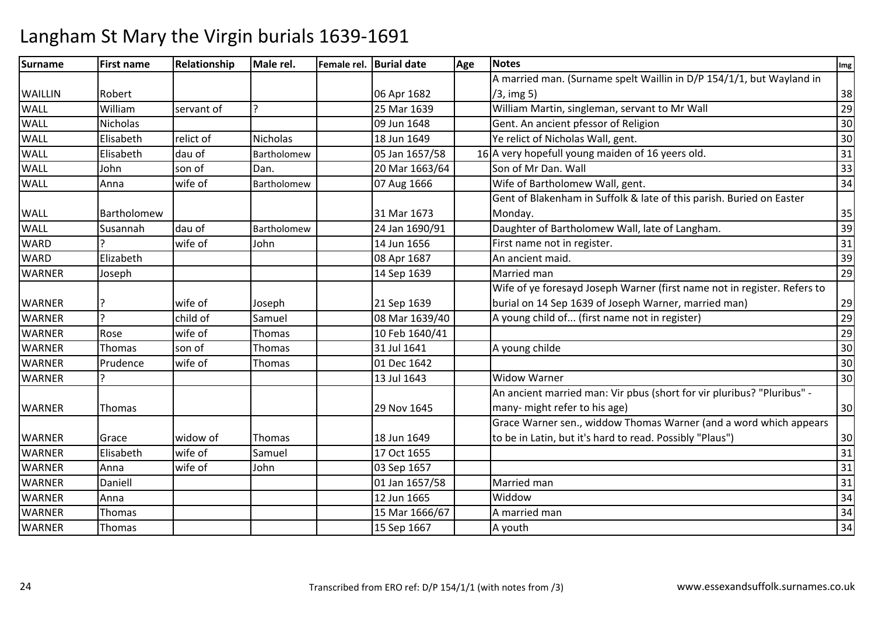| Surname        | <b>First name</b> | Relationship | Male rel.     | Female rel. Burial date | Age | <b>Notes</b>                                                             | Img |
|----------------|-------------------|--------------|---------------|-------------------------|-----|--------------------------------------------------------------------------|-----|
|                |                   |              |               |                         |     | A married man. (Surname spelt Waillin in D/P 154/1/1, but Wayland in     |     |
| <b>WAILLIN</b> | Robert            |              |               | 06 Apr 1682             |     | $/3$ , img 5)                                                            | 38  |
| <b>WALL</b>    | William           | servant of   |               | 25 Mar 1639             |     | William Martin, singleman, servant to Mr Wall                            | 29  |
| <b>WALL</b>    | Nicholas          |              |               | 09 Jun 1648             |     | Gent. An ancient pfessor of Religion                                     | 30  |
| <b>WALL</b>    | Elisabeth         | relict of    | Nicholas      | 18 Jun 1649             |     | Ye relict of Nicholas Wall, gent.                                        | 30  |
| <b>WALL</b>    | Elisabeth         | dau of       | Bartholomew   | 05 Jan 1657/58          |     | 16 A very hopefull young maiden of 16 yeers old.                         | 31  |
| <b>WALL</b>    | John              | son of       | Dan.          | 20 Mar 1663/64          |     | Son of Mr Dan. Wall                                                      | 33  |
| <b>WALL</b>    | Anna              | wife of      | Bartholomew   | 07 Aug 1666             |     | Wife of Bartholomew Wall, gent.                                          | 34  |
|                |                   |              |               |                         |     | Gent of Blakenham in Suffolk & late of this parish. Buried on Easter     |     |
| <b>WALL</b>    | Bartholomew       |              |               | 31 Mar 1673             |     | Monday.                                                                  | 35  |
| <b>WALL</b>    | Susannah          | dau of       | Bartholomew   | 24 Jan 1690/91          |     | Daughter of Bartholomew Wall, late of Langham.                           | 39  |
| <b>WARD</b>    |                   | wife of      | John          | 14 Jun 1656             |     | First name not in register.                                              | 31  |
| <b>WARD</b>    | Elizabeth         |              |               | 08 Apr 1687             |     | An ancient maid.                                                         | 39  |
| <b>WARNER</b>  | Joseph            |              |               | 14 Sep 1639             |     | Married man                                                              | 29  |
|                |                   |              |               |                         |     | Wife of ye foresayd Joseph Warner (first name not in register. Refers to |     |
| <b>WARNER</b>  |                   | wife of      | Joseph        | 21 Sep 1639             |     | burial on 14 Sep 1639 of Joseph Warner, married man)                     | 29  |
| <b>WARNER</b>  | C                 | child of     | Samuel        | 08 Mar 1639/40          |     | A young child of (first name not in register)                            | 29  |
| <b>WARNER</b>  | Rose              | wife of      | <b>Thomas</b> | 10 Feb 1640/41          |     |                                                                          | 29  |
| <b>WARNER</b>  | Thomas            | son of       | <b>Thomas</b> | 31 Jul 1641             |     | A young childe                                                           | 30  |
| <b>WARNER</b>  | Prudence          | wife of      | <b>Thomas</b> | 01 Dec 1642             |     |                                                                          | 30  |
| <b>WARNER</b>  |                   |              |               | 13 Jul 1643             |     | <b>Widow Warner</b>                                                      | 30  |
|                |                   |              |               |                         |     | An ancient married man: Vir pbus (short for vir pluribus? "Pluribus" -   |     |
| <b>WARNER</b>  | Thomas            |              |               | 29 Nov 1645             |     | many- might refer to his age)                                            | 30  |
|                |                   |              |               |                         |     | Grace Warner sen., widdow Thomas Warner (and a word which appears        |     |
| <b>WARNER</b>  | Grace             | widow of     | Thomas        | 18 Jun 1649             |     | to be in Latin, but it's hard to read. Possibly "Plaus")                 | 30  |
| <b>WARNER</b>  | Elisabeth         | wife of      | Samuel        | 17 Oct 1655             |     |                                                                          | 31  |
| <b>WARNER</b>  | Anna              | wife of      | John          | 03 Sep 1657             |     |                                                                          | 31  |
| <b>WARNER</b>  | Daniell           |              |               | 01 Jan 1657/58          |     | Married man                                                              | 31  |
| <b>WARNER</b>  | Anna              |              |               | 12 Jun 1665             |     | Widdow                                                                   | 34  |
| <b>WARNER</b>  | Thomas            |              |               | 15 Mar 1666/67          |     | A married man                                                            | 34  |
| <b>WARNER</b>  | Thomas            |              |               | 15 Sep 1667             |     | A youth                                                                  | 34  |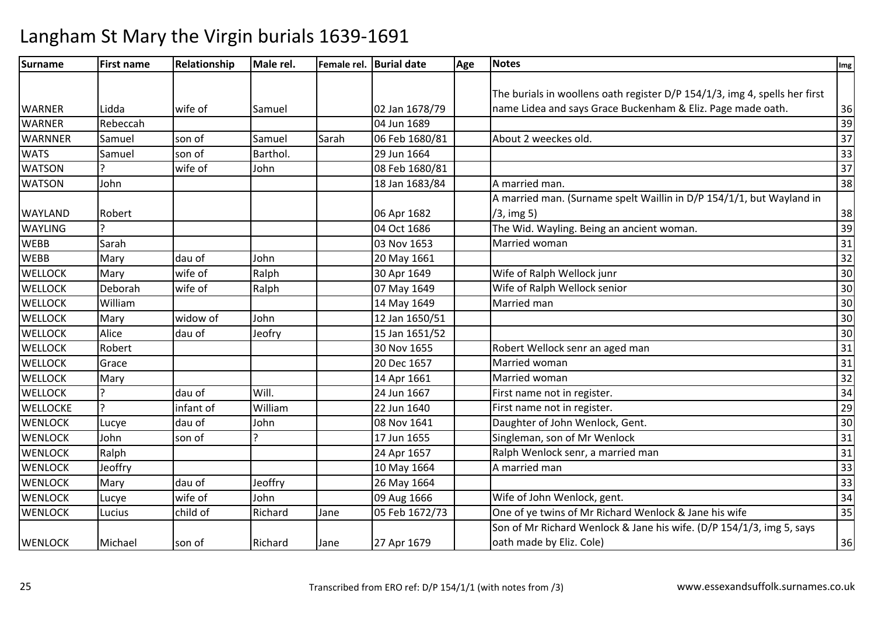| Surname         | <b>First name</b> | Relationship | Male rel. |       | Female rel. Burial date | Age | <b>Notes</b>                                                               | Img             |
|-----------------|-------------------|--------------|-----------|-------|-------------------------|-----|----------------------------------------------------------------------------|-----------------|
|                 |                   |              |           |       |                         |     |                                                                            |                 |
|                 |                   |              |           |       |                         |     | The burials in woollens oath register D/P 154/1/3, img 4, spells her first |                 |
| <b>WARNER</b>   | Lidda             | wife of      | Samuel    |       | 02 Jan 1678/79          |     | name Lidea and says Grace Buckenham & Eliz. Page made oath.                | 36              |
| <b>WARNER</b>   | Rebeccah          |              |           |       | 04 Jun 1689             |     |                                                                            | 39              |
| <b>WARNNER</b>  | Samuel            | son of       | Samuel    | Sarah | 06 Feb 1680/81          |     | About 2 weeckes old.                                                       | $\overline{37}$ |
| <b>WATS</b>     | Samuel            | son of       | Barthol.  |       | 29 Jun 1664             |     |                                                                            | 33              |
| <b>WATSON</b>   |                   | wife of      | John      |       | 08 Feb 1680/81          |     |                                                                            | $\overline{37}$ |
| <b>WATSON</b>   | John              |              |           |       | 18 Jan 1683/84          |     | A married man.                                                             | 38              |
|                 |                   |              |           |       |                         |     | A married man. (Surname spelt Waillin in D/P 154/1/1, but Wayland in       |                 |
| <b>WAYLAND</b>  | Robert            |              |           |       | 06 Apr 1682             |     | $/3$ , img 5)                                                              | 38              |
| <b>WAYLING</b>  |                   |              |           |       | 04 Oct 1686             |     | The Wid. Wayling. Being an ancient woman.                                  | 39              |
| <b>WEBB</b>     | Sarah             |              |           |       | 03 Nov 1653             |     | Married woman                                                              | 31              |
| <b>WEBB</b>     | Mary              | dau of       | John      |       | 20 May 1661             |     |                                                                            | $\overline{32}$ |
| <b>WELLOCK</b>  | Mary              | wife of      | Ralph     |       | 30 Apr 1649             |     | Wife of Ralph Wellock junr                                                 | 30              |
| <b>WELLOCK</b>  | Deborah           | wife of      | Ralph     |       | 07 May 1649             |     | Wife of Ralph Wellock senior                                               | 30              |
| <b>WELLOCK</b>  | William           |              |           |       | 14 May 1649             |     | Married man                                                                | 30              |
| <b>WELLOCK</b>  | Mary              | widow of     | John      |       | 12 Jan 1650/51          |     |                                                                            | 30              |
| <b>WELLOCK</b>  | Alice             | dau of       | Jeofry    |       | 15 Jan 1651/52          |     |                                                                            | 30              |
| <b>WELLOCK</b>  | Robert            |              |           |       | 30 Nov 1655             |     | Robert Wellock senr an aged man                                            | $\overline{31}$ |
| <b>WELLOCK</b>  | Grace             |              |           |       | 20 Dec 1657             |     | Married woman                                                              | $\overline{31}$ |
| <b>WELLOCK</b>  | Mary              |              |           |       | 14 Apr 1661             |     | Married woman                                                              | 32              |
| <b>WELLOCK</b>  |                   | dau of       | Will.     |       | 24 Jun 1667             |     | First name not in register.                                                | $\overline{34}$ |
| <b>WELLOCKE</b> |                   | infant of    | William   |       | 22 Jun 1640             |     | First name not in register.                                                | $\overline{29}$ |
| <b>WENLOCK</b>  | Lucye             | dau of       | John      |       | 08 Nov 1641             |     | Daughter of John Wenlock, Gent.                                            | 30              |
| <b>WENLOCK</b>  | John              | son of       |           |       | 17 Jun 1655             |     | Singleman, son of Mr Wenlock                                               | 31              |
| <b>WENLOCK</b>  | Ralph             |              |           |       | 24 Apr 1657             |     | Ralph Wenlock senr, a married man                                          | 31              |
| <b>WENLOCK</b>  | Jeoffry           |              |           |       | 10 May 1664             |     | A married man                                                              | $\overline{33}$ |
| <b>WENLOCK</b>  | Mary              | dau of       | Jeoffry   |       | 26 May 1664             |     |                                                                            | $\overline{33}$ |
| <b>WENLOCK</b>  | Lucye             | wife of      | John      |       | 09 Aug 1666             |     | Wife of John Wenlock, gent.                                                | $\overline{34}$ |
| <b>WENLOCK</b>  | Lucius            | child of     | Richard   | Jane  | 05 Feb 1672/73          |     | One of ye twins of Mr Richard Wenlock & Jane his wife                      | 35              |
|                 |                   |              |           |       |                         |     | Son of Mr Richard Wenlock & Jane his wife. (D/P 154/1/3, img 5, says       |                 |
| <b>WENLOCK</b>  | Michael           | son of       | Richard   | Jane  | 27 Apr 1679             |     | oath made by Eliz. Cole)                                                   | 36              |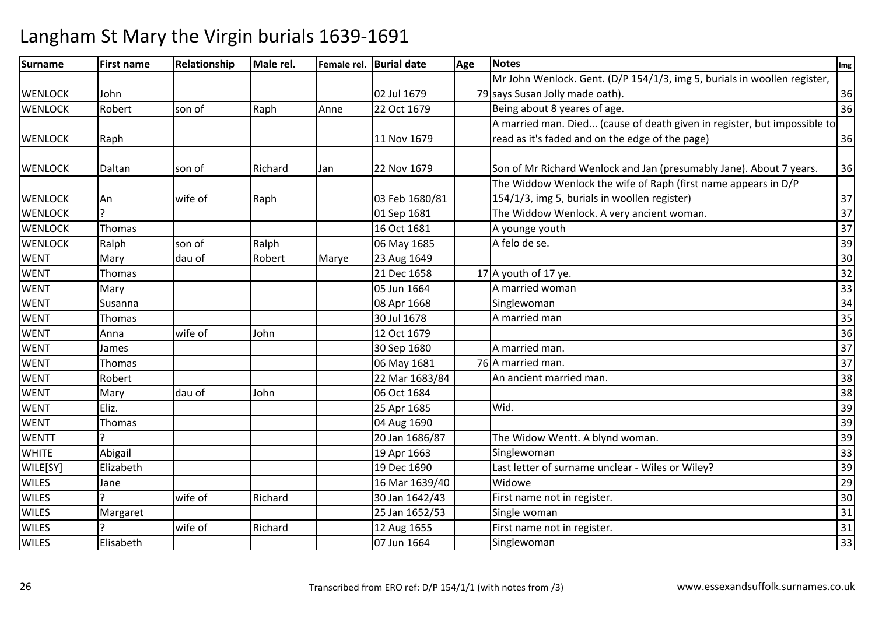| <b>Surname</b> | <b>First name</b> | Relationship | Male rel. |       | Female rel. Burial date | Age | <b>Notes</b>                                                             | Img             |
|----------------|-------------------|--------------|-----------|-------|-------------------------|-----|--------------------------------------------------------------------------|-----------------|
|                |                   |              |           |       |                         |     | Mr John Wenlock. Gent. (D/P 154/1/3, img 5, burials in woollen register, |                 |
| <b>WENLOCK</b> | John              |              |           |       | 02 Jul 1679             |     | 79 says Susan Jolly made oath).                                          | 36              |
| <b>WENLOCK</b> | Robert            | son of       | Raph      | Anne  | 22 Oct 1679             |     | Being about 8 yeares of age.                                             | 36              |
|                |                   |              |           |       |                         |     | A married man. Died (cause of death given in register, but impossible to |                 |
| <b>WENLOCK</b> | Raph              |              |           |       | 11 Nov 1679             |     | read as it's faded and on the edge of the page)                          | 36              |
| <b>WENLOCK</b> | Daltan            | son of       | Richard   | Jan   | 22 Nov 1679             |     | Son of Mr Richard Wenlock and Jan (presumably Jane). About 7 years.      | 36              |
|                |                   |              |           |       |                         |     | The Widdow Wenlock the wife of Raph (first name appears in D/P           |                 |
| <b>WENLOCK</b> | An                | wife of      | Raph      |       | 03 Feb 1680/81          |     | 154/1/3, img 5, burials in woollen register)                             | 37              |
| <b>WENLOCK</b> |                   |              |           |       | 01 Sep 1681             |     | The Widdow Wenlock. A very ancient woman.                                | $\overline{37}$ |
| <b>WENLOCK</b> | Thomas            |              |           |       | 16 Oct 1681             |     | A younge youth                                                           | 37              |
| <b>WENLOCK</b> | Ralph             | son of       | Ralph     |       | 06 May 1685             |     | A felo de se.                                                            | 39              |
| <b>WENT</b>    | Mary              | dau of       | Robert    | Marye | 23 Aug 1649             |     |                                                                          | 30              |
| <b>WENT</b>    | Thomas            |              |           |       | 21 Dec 1658             |     | 17 A youth of 17 ye.                                                     | 32              |
| <b>WENT</b>    | Mary              |              |           |       | 05 Jun 1664             |     | A married woman                                                          | 33              |
| <b>WENT</b>    | Susanna           |              |           |       | 08 Apr 1668             |     | Singlewoman                                                              | 34              |
| <b>WENT</b>    | Thomas            |              |           |       | 30 Jul 1678             |     | A married man                                                            | 35              |
| <b>WENT</b>    | Anna              | wife of      | John      |       | 12 Oct 1679             |     |                                                                          | 36              |
| <b>WENT</b>    | James             |              |           |       | 30 Sep 1680             |     | A married man.                                                           | 37              |
| <b>WENT</b>    | Thomas            |              |           |       | 06 May 1681             |     | 76 A married man.                                                        | 37              |
| <b>WENT</b>    | Robert            |              |           |       | 22 Mar 1683/84          |     | An ancient married man.                                                  | 38              |
| <b>WENT</b>    | Mary              | dau of       | John      |       | 06 Oct 1684             |     |                                                                          | 38              |
| <b>WENT</b>    | Eliz.             |              |           |       | 25 Apr 1685             |     | Wid.                                                                     | 39              |
| <b>WENT</b>    | Thomas            |              |           |       | 04 Aug 1690             |     |                                                                          | 39              |
| <b>WENTT</b>   |                   |              |           |       | 20 Jan 1686/87          |     | The Widow Wentt. A blynd woman.                                          | 39              |
| <b>WHITE</b>   | Abigail           |              |           |       | 19 Apr 1663             |     | Singlewoman                                                              | 33              |
| WILE[SY]       | Elizabeth         |              |           |       | 19 Dec 1690             |     | Last letter of surname unclear - Wiles or Wiley?                         | $\overline{39}$ |
| <b>WILES</b>   | Jane              |              |           |       | 16 Mar 1639/40          |     | Widowe                                                                   | 29              |
| <b>WILES</b>   | <sup>-</sup>      | wife of      | Richard   |       | 30 Jan 1642/43          |     | First name not in register.                                              | 30              |
| <b>WILES</b>   | Margaret          |              |           |       | 25 Jan 1652/53          |     | Single woman                                                             | 31              |
| <b>WILES</b>   |                   | wife of      | Richard   |       | 12 Aug 1655             |     | First name not in register.                                              | 31              |
| <b>WILES</b>   | Elisabeth         |              |           |       | 07 Jun 1664             |     | Singlewoman                                                              | 33              |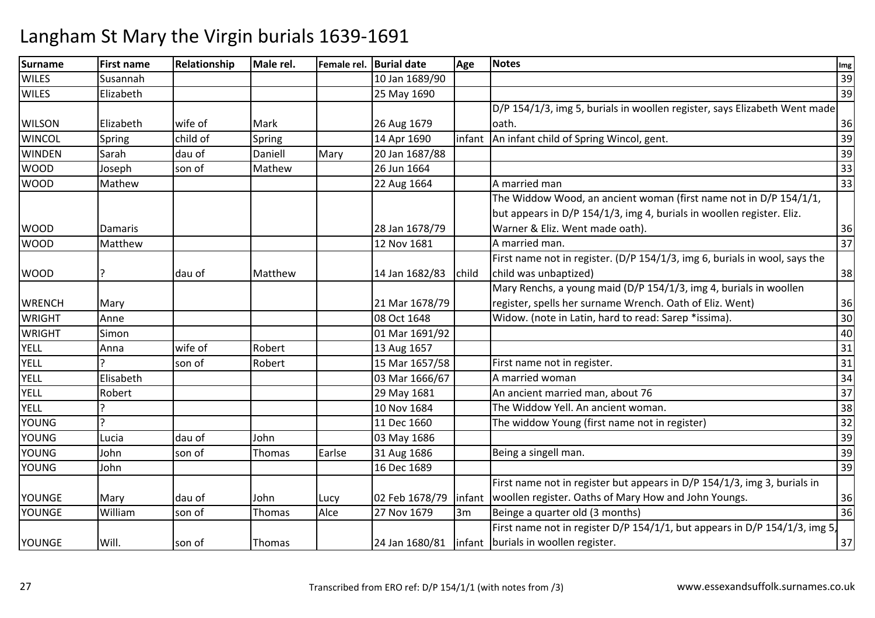| Surname       | <b>First name</b> | Relationship | Male rel. |        | Female rel. Burial date | Age    | <b>Notes</b>                                                               | Img |
|---------------|-------------------|--------------|-----------|--------|-------------------------|--------|----------------------------------------------------------------------------|-----|
| <b>WILES</b>  | Susannah          |              |           |        | 10 Jan 1689/90          |        |                                                                            | 39  |
| <b>WILES</b>  | Elizabeth         |              |           |        | 25 May 1690             |        |                                                                            | 39  |
|               |                   |              |           |        |                         |        | D/P 154/1/3, img 5, burials in woollen register, says Elizabeth Went made  |     |
| <b>WILSON</b> | Elizabeth         | wife of      | Mark      |        | 26 Aug 1679             |        | oath.                                                                      | 36  |
| <b>WINCOL</b> | Spring            | child of     | Spring    |        | 14 Apr 1690             | infant | An infant child of Spring Wincol, gent.                                    | 39  |
| <b>WINDEN</b> | Sarah             | dau of       | Daniell   | Mary   | 20 Jan 1687/88          |        |                                                                            | 39  |
| <b>WOOD</b>   | Joseph            | son of       | Mathew    |        | 26 Jun 1664             |        |                                                                            | 33  |
| <b>WOOD</b>   | Mathew            |              |           |        | 22 Aug 1664             |        | A married man                                                              | 33  |
|               |                   |              |           |        |                         |        | The Widdow Wood, an ancient woman (first name not in D/P 154/1/1,          |     |
|               |                   |              |           |        |                         |        | but appears in D/P 154/1/3, img 4, burials in woollen register. Eliz.      |     |
| <b>WOOD</b>   | <b>Damaris</b>    |              |           |        | 28 Jan 1678/79          |        | Warner & Eliz. Went made oath).                                            | 36  |
| <b>WOOD</b>   | Matthew           |              |           |        | 12 Nov 1681             |        | A married man.                                                             | 37  |
|               |                   |              |           |        |                         |        | First name not in register. (D/P 154/1/3, img 6, burials in wool, says the |     |
| <b>WOOD</b>   | 7                 | dau of       | Matthew   |        | 14 Jan 1682/83          | child  | child was unbaptized)                                                      | 38  |
|               |                   |              |           |        |                         |        | Mary Renchs, a young maid (D/P 154/1/3, img 4, burials in woollen          |     |
| <b>WRENCH</b> | Mary              |              |           |        | 21 Mar 1678/79          |        | register, spells her surname Wrench. Oath of Eliz. Went)                   | 36  |
| <b>WRIGHT</b> | Anne              |              |           |        | 08 Oct 1648             |        | Widow. (note in Latin, hard to read: Sarep *issima).                       | 30  |
| <b>WRIGHT</b> | Simon             |              |           |        | 01 Mar 1691/92          |        |                                                                            | 40  |
| <b>YELL</b>   | Anna              | wife of      | Robert    |        | 13 Aug 1657             |        |                                                                            | 31  |
| <b>YELL</b>   |                   | son of       | Robert    |        | 15 Mar 1657/58          |        | First name not in register.                                                | 31  |
| <b>YELL</b>   | Elisabeth         |              |           |        | 03 Mar 1666/67          |        | A married woman                                                            | 34  |
| <b>YELL</b>   | Robert            |              |           |        | 29 May 1681             |        | An ancient married man, about 76                                           | 37  |
| YELL          |                   |              |           |        | 10 Nov 1684             |        | The Widdow Yell. An ancient woman.                                         | 38  |
| <b>YOUNG</b>  |                   |              |           |        | 11 Dec 1660             |        | The widdow Young (first name not in register)                              | 32  |
| <b>YOUNG</b>  | Lucia             | dau of       | John      |        | 03 May 1686             |        |                                                                            | 39  |
| <b>YOUNG</b>  | John              | son of       | Thomas    | Earlse | 31 Aug 1686             |        | Being a singell man.                                                       | 39  |
| <b>YOUNG</b>  | John              |              |           |        | 16 Dec 1689             |        |                                                                            | 39  |
|               |                   |              |           |        |                         |        | First name not in register but appears in D/P 154/1/3, img 3, burials in   |     |
| YOUNGE        | Mary              | dau of       | John      | Lucy   | 02 Feb 1678/79          | infant | woollen register. Oaths of Mary How and John Youngs.                       | 36  |
| YOUNGE        | William           | son of       | Thomas    | Alce   | 27 Nov 1679             | 3m     | Beinge a quarter old (3 months)                                            | 36  |
|               |                   |              |           |        |                         |        | First name not in register D/P 154/1/1, but appears in D/P 154/1/3, img 5, |     |
| YOUNGE        | Will.             | son of       | Thomas    |        |                         |        | 24 Jan 1680/81   infant   burials in woollen register.                     | 37  |